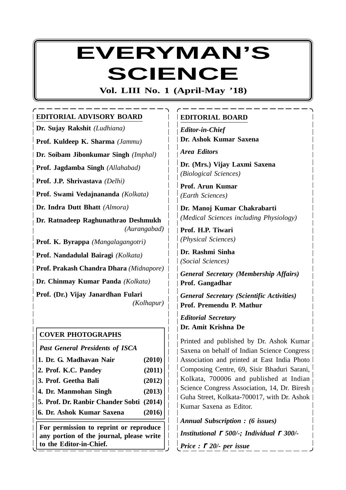# **EVERYMAN'S SCIENCE**

**Vol. LIII No. 1 (April-May '18)**

# **EDITORIAL ADVISORY BOARD**

**Dr. Sujay Rakshit** *(Ludhiana)* **Prof. Kuldeep K. Sharma** *(Jammu)* **Dr. Soibam Jibonkumar Singh** *(Imphal)* **Prof. Jagdamba Singh** *(Allahabad)* **Prof. J.P. Shrivastava** *(Delhi)* **Prof. Swami Vedajnananda** *(Kolkata)* **Dr. Indra Dutt Bhatt** *(Almora)* **Dr. Ratnadeep Raghunathrao Deshmukh** *(Aurangabad)* **Prof. K. Byrappa** *(Mangalagangotri)* **Prof. Nandadulal Bairagi** *(Kolkata)* **Prof. Prakash Chandra Dhara** *(Midnapore)* **Dr. Chinmay Kumar Panda** *(Kolkata)* **Prof. (Dr.) Vijay Janardhan Fulari** *(Kolhapur)*

# **COVER PHOTOGRAPHS**

*Past General Presidents of ISCA* **1. Dr. G. Madhavan Nair (2010) 2. Prof. K.C. Pandey (2011) 3. Prof. Geetha Bali (2012) 4. Dr. Manmohan Singh (2013) 5. Prof. Dr. Ranbir Chander Sobti (2014) 6. Dr. Ashok Kumar Saxena (2016) For permission to reprint or reproduce any portion of the journal, please write**

**to the Editor-in-Chief.**

# **EDITORIAL BOARD**

*Editor-in-Chief* **Dr. Ashok Kumar Saxena**

*Area Editors*

**Dr. (Mrs.) Vijay Laxmi Saxena** *(Biological Sciences)*

**Prof. Arun Kumar** *(Earth Sciences)*

**Dr. Manoj Kumar Chakrabarti** *(Medical Sciences including Physiology)*

**Prof. H.P. Tiwari** *(Physical Sciences)*

**Dr. Rashmi Sinha** *(Social Sciences)*

*General Secretary (Membership Affairs)* **Prof. Gangadhar**

*General Secretary (Scientific Activities)* **Prof. Premendu P. Mathur**

*Editorial Secretary* **Dr. Amit Krishna De**

Printed and published by Dr. Ashok Kumar Saxena on behalf of Indian Science Congress Association and printed at East India Photo Composing Centre, 69, Sisir Bhaduri Sarani, Kolkata, 700006 and published at Indian Science Congress Association, 14, Dr. Biresh Guha Street, Kolkata-700017, with Dr. Ashok Kumar Saxena as Editor.

*Annual Subscription : (6 issues) Institutional* r *500/-; Individual* r *300/- Price :* r *20/- per issue*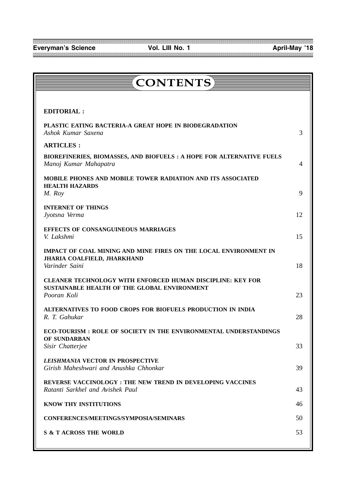| <b>CONTENTS</b>                                                                                                           |    |
|---------------------------------------------------------------------------------------------------------------------------|----|
|                                                                                                                           |    |
| <b>EDITORIAL:</b>                                                                                                         |    |
| PLASTIC EATING BACTERIA-A GREAT HOPE IN BIODEGRADATION<br>Ashok Kumar Saxena                                              | 3  |
| <b>ARTICLES:</b>                                                                                                          |    |
| BIOREFINERIES, BIOMASSES, AND BIOFUELS : A HOPE FOR ALTERNATIVE FUELS<br>Manoj Kumar Mahapatra                            | 4  |
| <b>MOBILE PHONES AND MOBILE TOWER RADIATION AND ITS ASSOCIATED</b><br><b>HEALTH HAZARDS</b><br>M. Roy                     | 9  |
| <b>INTERNET OF THINGS</b>                                                                                                 |    |
| Jyotsna Verma                                                                                                             | 12 |
| <b>EFFECTS OF CONSANGUINEOUS MARRIAGES</b><br>V. Lakshmi                                                                  | 15 |
| IMPACT OF COAL MINING AND MINE FIRES ON THE LOCAL ENVIRONMENT IN<br>JHARIA COALFIELD, JHARKHAND<br>Varinder Saini         | 18 |
| CLEANER TECHNOLOGY WITH ENFORCED HUMAN DISCIPLINE: KEY FOR<br>SUSTAINABLE HEALTH OF THE GLOBAL ENVIRONMENT<br>Pooran Koli | 23 |
| ALTERNATIVES TO FOOD CROPS FOR BIOFUELS PRODUCTION IN INDIA<br>R. T. Gahukar                                              | 28 |
| ECO-TOURISM : ROLE OF SOCIETY IN THE ENVIRONMENTAL UNDERSTANDINGS                                                         |    |
| OF SUNDARBAN<br>Sisir Chatterjee                                                                                          | 33 |
| <b>LEISHMANIA VECTOR IN PROSPECTIVE</b><br>Girish Maheshwari and Anushka Chhonkar                                         | 39 |
| REVERSE VACCINOLOGY : THE NEW TREND IN DEVELOPING VACCINES<br>Ratanti Sarkhel and Avishek Paul                            | 43 |
| KNOW THY INSTITUTIONS                                                                                                     | 46 |
| CONFERENCES/MEETINGS/SYMPOSIA/SEMINARS                                                                                    | 50 |
| <b>S &amp; T ACROSS THE WORLD</b>                                                                                         | 53 |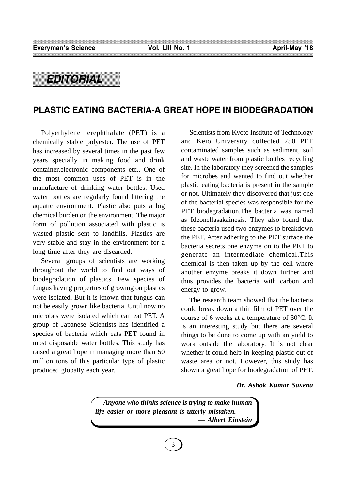# *EDITORIAL*

# **PLASTIC EATING BACTERIA-A GREAT HOPE IN BIODEGRADATION**

Polyethylene terephthalate (PET) is a chemically stable polyester. The use of PET has increased by several times in the past few years specially in making food and drink container,electronic components etc., One of the most common uses of PET is in the manufacture of drinking water bottles. Used water bottles are regularly found littering the aquatic environment. Plastic also puts a big chemical burden on the environment. The major form of pollution associated with plastic is wasted plastic sent to landfills. Plastics are very stable and stay in the environment for a long time after they are discarded.

Several groups of scientists are working throughout the world to find out ways of biodegradation of plastics. Few species of fungus having properties of growing on plastics were isolated. But it is known that fungus can not be easily grown like bacteria. Until now no microbes were isolated which can eat PET. A group of Japanese Scientists has identified a species of bacteria which eats PET found in most disposable water bottles. This study has raised a great hope in managing more than 50 million tons of this particular type of plastic produced globally each year.

Scientists from Kyoto Institute of Technology and Keio University collected 250 PET contaminated samples such as sediment, soil and waste water from plastic bottles recycling site. In the laboratory they screened the samples for microbes and wanted to find out whether plastic eating bacteria is present in the sample or not. Ultimately they discovered that just one of the bacterial species was responsible for the PET biodegradation.The bacteria was named as Ideonellasakainesis. They also found that these bacteria used two enzymes to breakdown the PET. After adhering to the PET surface the bacteria secrets one enzyme on to the PET to generate an intermediate chemical.This chemical is then taken up by the cell where another enzyme breaks it down further and thus provides the bacteria with carbon and energy to grow.

The research team showed that the bacteria could break down a thin film of PET over the course of 6 weeks at a temperature of 30°C. It is an interesting study but there are several things to be done to come up with an yield to work outside the laboratory. It is not clear whether it could help in keeping plastic out of waste area or not. However, this study has shown a great hope for biodegradation of PET.

*Dr. Ashok Kumar Saxena*

*Anyone who thinks science is trying to make human life easier or more pleasant is utterly mistaken. — Albert Einstein*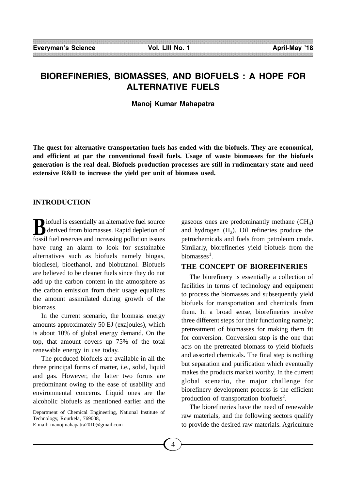# **BIOREFINERIES, BIOMASSES, AND BIOFUELS : A HOPE FOR ALTERNATIVE FUELS**

**Manoj Kumar Mahapatra**

**The quest for alternative transportation fuels has ended with the biofuels. They are economical, and efficient at par the conventional fossil fuels. Usage of waste biomasses for the biofuels generation is the real deal. Biofuels production processes are still in rudimentary state and need extensive R&D to increase the yield per unit of biomass used.**

# **INTRODUCTION**

**B**iofuel is essentially an alternative fuel source<br>derived from biomasses. Rapid depletion of derived from biomasses. Rapid depletion of fossil fuel reserves and increasing pollution issues have rung an alarm to look for sustainable alternatives such as biofuels namely biogas, biodiesel, bioethanol, and biobutanol. Biofuels are believed to be cleaner fuels since they do not add up the carbon content in the atmosphere as the carbon emission from their usage equalizes the amount assimilated during growth of the biomass.

In the current scenario, the biomass energy amounts approximately 50 EJ (exajoules), which is about 10% of global energy demand. On the top, that amount covers up 75% of the total renewable energy in use today.

The produced biofuels are available in all the three principal forms of matter, i.e., solid, liquid and gas. However, the latter two forms are predominant owing to the ease of usability and environmental concerns. Liquid ones are the alcoholic biofuels as mentioned earlier and the

Department of Chemical Engineering, National Institute of Technology, Rourkela, 769008, E-mail: manojmahapatra2010@gmail.com

gaseous ones are predominantly methane  $(CH<sub>4</sub>)$ and hydrogen  $(H<sub>2</sub>)$ . Oil refineries produce the petrochemicals and fuels from petroleum crude. Similarly, biorefineries yield biofuels from the biomasses<sup>1</sup>.

## **THE CONCEPT OF BIOREFINERIES**

The biorefinery is essentially a collection of facilities in terms of technology and equipment to process the biomasses and subsequently yield biofuels for transportation and chemicals from them. In a broad sense, biorefineries involve three different steps for their functioning namely; pretreatment of biomasses for making them fit for conversion. Conversion step is the one that acts on the pretreated biomass to yield biofuels and assorted chemicals. The final step is nothing but separation and purification which eventually makes the products market worthy. In the current global scenario, the major challenge for biorefinery development process is the efficient production of transportation biofuels<sup>2</sup>.

The biorefineries have the need of renewable raw materials, and the following sectors qualify to provide the desired raw materials. Agriculture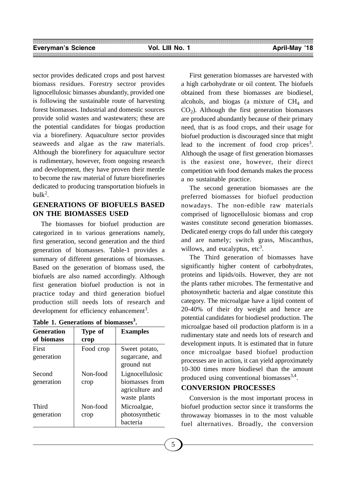sector provides dedicated crops and post harvest biomass residues. Forestry sectror provides lignocellulosic bimasses abundantly, provided one is following the sustainable route of harvesting forest biomasses. Industrial and domestic sources provide solid wastes and wastewaters; these are the potential candidates for biogas production via a biorefinery. Aquaculture sector provides seaweeds and algae as the raw materials. Although the biorefinery for aquaculture sector is rudimentary, however, from ongoing research and development, they have proven their mentle to become the raw material of future biorefineries dedicated to producing transportation biofuels in  $bulk<sup>2</sup>$ .

# **GENERATIONS OF BIOFUELS BASED ON THE BIOMASSES USED**

The biomasses for biofuel production are categorized in to various generations namely, first generation, second generation and the third generation of biomasses. Table-1 provides a summary of different generations of biomasses. Based on the generation of biomass used, the biofuels are also named accordingly. Although first generation biofuel production is not in practice today and third generation biofuel production still needs lots of research and development for efficiency enhancement<sup>3</sup>.

| <b>Generation</b><br>of biomass | Type of<br>crop  | <b>Examples</b>                                                      |
|---------------------------------|------------------|----------------------------------------------------------------------|
| First<br>generation             | Food crop        | Sweet potato,<br>sugarcane, and<br>ground nut                        |
| Second<br>generation            | Non-food<br>crop | Lignocellulosic<br>hiomasses from<br>agriculture and<br>waste plants |
| Third<br>generation             | Non-food<br>crop | Microalgae,<br>photosynthetic<br>bacteria                            |

|  | Table 1. Generations of biomasses <sup>3</sup> . |  |  |
|--|--------------------------------------------------|--|--|
|  |                                                  |  |  |

First generation biomasses are harvested with a high carbohydrate or oil content. The biofuels obtained from these biomasses are biodiesel, alcohols, and biogas (a mixture of  $CH<sub>4</sub>$  and  $CO<sub>2</sub>$ ). Although the first generation biomasses are produced abundantly because of their primary need, that is as food crops, and their usage for biofuel production is discouraged since that might lead to the increment of food crop prices<sup>3</sup>. Although the usage of first generation biomasses is the easiest one, however, their direct competition with food demands makes the process a no sustainable practice.

The second generation biomasses are the preferred biomasses for biofuel production nowadays. The non-edible raw materials comprised of lignocellulosic biomass and crop wastes constitute second generation biomasses. Dedicated energy crops do fall under this category and are namely; switch grass, Miscanthus, willows, and eucalyptus,  $etc<sup>3</sup>$ .

The Third generation of biomasses have significantly higher content of carbohydrates, proteins and lipids/oils. However, they are not the plants rather microbes. The fermentative and photosynthetic bacteria and algae constitute this category. The microalgae have a lipid content of 20-40% of their dry weight and hence are potential candidates for biodiesel production. The microalgae based oil production platform is in a rudimentary state and needs lots of research and development inputs. It is estimated that in future once microalgae based biofuel production processes are in action, it can yield approximately 10-300 times more biodiesel than the amount produced using conventional biomasses $^{3,4}$ .

# **CONVERSION PROCESSES**

Conversion is the most important process in biofuel production sector since it transforms the throwaway biomasses in to the most valuable fuel alternatives. Broadly, the conversion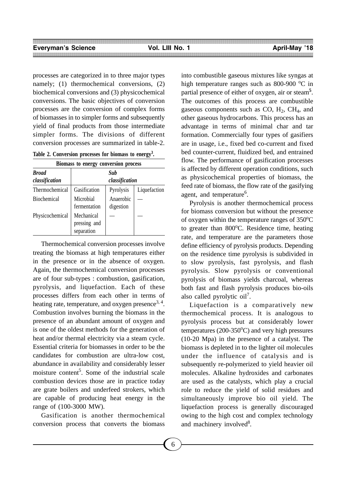processes are categorized in to three major types namely; (1) thermochemical conversions, (2) biochemical conversions and (3) physicochemical conversions. The basic objectives of conversion processes are the conversion of complex forms of biomasses in to simpler forms and subsequently yield of final products from those intermediate simpler forms. The divisions of different conversion processes are summarized in table-2.

**Table 2. Conversion processes for biomass to energy3 .**

|                                | Biomass to energy conversion process     |                        |              |  |  |
|--------------------------------|------------------------------------------|------------------------|--------------|--|--|
| <b>Broad</b><br>classification | Sub<br>classification                    |                        |              |  |  |
| Thermochemical                 | Gasification                             | Pyrolysis              | Liquefaction |  |  |
| Biochemical                    | Microbial<br>fermentation                | Anaerobic<br>digestion |              |  |  |
| Physicochemical                | Mechanical<br>pressing and<br>separation |                        |              |  |  |

Thermochemical conversion processes involve treating the biomass at high temperatures either in the presence or in the absence of oxygen. Again, the thermochemical conversion processes are of four sub-types : combustion, gasification, pyrolysis, and liquefaction. Each of these processes differs from each other in terms of heating rate, temperature, and oxygen presence<sup>3, 4</sup>. Combustion involves burning the biomass in the presence of an abundant amount of oxygen and is one of the oldest methods for the generation of heat and/or thermal electricity via a steam cycle. Essential criteria for biomasses in order to be the candidates for combustion are ultra-low cost, abundance in availability and considerably lesser moisture content<sup>5</sup>. Some of the industrial scale combustion devices those are in practice today are grate boilers and underfeed strokers, which are capable of producing heat energy in the range of (100-3000 MW).

Gasification is another thermochemical conversion process that converts the biomass

into combustible gaseous mixtures like syngas at high temperature ranges such as  $800-900$  °C in partial presence of either of oxygen, air or steam**<sup>5</sup>** . The outcomes of this process are combustible gaseous components such as  $CO$ ,  $H_2$ ,  $CH_4$ , and other gaseous hydrocarbons. This process has an advantage in terms of minimal char and tar formation. Commercially four types of gasifiers are in usage, i.e., fixed bed co-current and fixed bed counter-current, fluidized bed, and entrained flow. The performance of gasification processes is affected by different operation conditions, such as physicochemical properties of biomass, the feed rate of biomass, the flow rate of the gasifying agent, and temperature<sup>6</sup>.

Pyrolysis is another thermochemical process for biomass conversion but without the presence of oxygen within the temperature ranges of  $350^{\circ}$ C to greater than 800°C. Residence time, heating rate, and temperature are the parameters those define efficiency of pyrolysis products. Depending on the residence time pyrolysis is subdivided in to slow pyrolysis, fast pyrolysis, and flash pyrolysis. Slow pyrolysis or conventional pyrolysis of biomass yields charcoal, whereas both fast and flash pyrolysis produces bio-oils also called pyrolytic  $oi1^7$ .

Liquefaction is a comparatively new thermochemical process. It is analogous to pyrolysis process but at considerably lower  $temperatures (200-350°C)$  and very high pressures (10-20 Mpa) in the presence of a catalyst. The biomass is depleted in to the lighter oil molecules under the influence of catalysis and is subsequently re-polymerized to yield heavier oil molecules. Alkaline hydroxides and carbonates are used as the catalysts, which play a crucial role to reduce the yield of solid residues and simultaneously improve bio oil yield. The liquefaction process is generally discouraged owing to the high cost and complex technology and machinery involved<sup>8</sup>.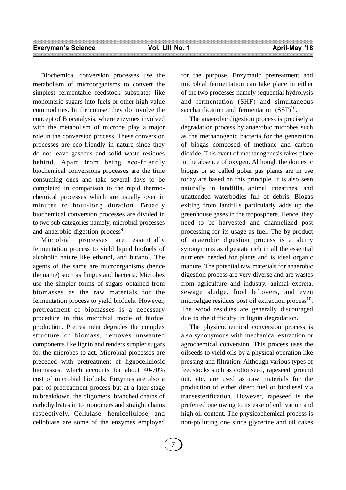Biochemical conversion processes use the metabolism of microorganisms to convert the simplest fermentable feedstock substrates like monomeric sugars into fuels or other high-value commodities. In the course, they do involve the concept of Biocatalysis, where enzymes involved with the metabolism of microbe play a major role in the conversion process. These conversion processes are eco-friendly in nature since they do not leave gaseous and solid waste residues behind. Apart from being eco-friendly biochemical conversions processes are the time consuming ones and take several days to be completed in comparison to the rapid thermochemical processes which are usually over in minutes to hour-long duration. Broadly biochemical conversion processes are divided in to two sub categories namely, microbial processes and anaerobic digestion process<sup>9</sup>.

Microbial processes are essentially fermentation process to yield liquid biofuels of alcoholic nature like ethanol, and butanol. The agents of the same are microorganisms (hence the name) such as fungus and bacteria. Microbes use the simpler forms of sugars obtained from biomasses as the raw materials for the fermentation process to yield biofuels. However, pretreatment of biomasses is a necessary procedure in this microbial mode of biofuel production. Pretreatment degrades the complex structure of biomass, removes unwanted components like lignin and renders simpler sugars for the microbes to act. Microbial processes are preceded with pretreatment of lignocellulosic biomasses, which accounts for about 40-70% cost of microbial biofuels. Enzymes are also a part of pretreatment process but at a later stage to breakdown, the oligomers, branched chains of carbohydrates in to monomers and straight chains respectively. Cellulase, hemicellulose, and cellobiase are some of the enzymes employed for the purpose. Enzymatic pretreatment and microbial fermentation can take place in either of the two processes namely sequential hydrolysis and fermentation (SHF) and simultaneous saccharification and fermentation  $(SSF)^{10}$ .

The anaerobic digestion process is precisely a degradation process by anaerobic microbes such as the methanogenic bacteria for the generation of biogas composed of methane and carbon dioxide. This event of methanogenesis takes place in the absence of oxygen. Although the domestic biogas or so called gobar gas plants are in use today are based on this principle. It is also seen naturally in landfills, animal intestines, and unattended waterbodies full of debris. Biogas exiting from landfills particularly adds up the greenhouse gases in the troposphere. Hence, they need to be harvested and channelized post processing for its usage as fuel. The by-product of anaerobic digestion process is a slurry synonymous as digestate rich in all the essential nutrients needed for plants and is ideal organic manure. The potential raw materials for anaerobic digestion process are very diverse and are wastes from agriculture and industry, animal excreta, sewage sludge, food leftovers, and even microalgae residues post oil extraction process $^{10}$ . The wood residues are generally discouraged due to the difficulty in lignin degradation.

The physicochemical conversion process is also synonymous with mechanical extraction or agrochemical conversion. This process uses the oilseeds to yield oils by a physical operation like pressing and filtration. Although various types of feedstocks such as cottonseed, rapeseed, ground nut, etc. are used as raw materials for the production of either direct fuel or biodiesel via transesterification. However, rapeseed is the preferred one owing to its ease of cultivation and high oil content. The physicochemical process is non-polluting one since glycerine and oil cakes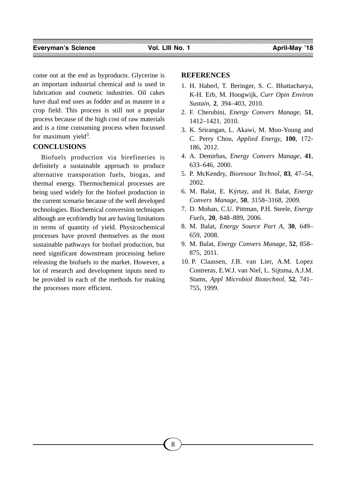come out at the end as byproducts. Glycerine is an important industrial chemical and is used in lubrication and cosmetic industries. Oil cakes have dual end uses as fodder and as maunre in a crop field. This process is still not a popular process because of the high cost of raw materials and is a time consuming process when focussed for maximum yield<sup>3</sup>.

# **CONCLUSIONS**

Biofuels production via birefineries is definitely a sustainable approach to produce alternative transporation fuels, biogas, and thermal energy. Thermochemical processes are being used widely for the biofuel production in the current scenario because of the well developed technologies. Biochemical conversion techniques although are ecofriendly but are having limitations in terms of quantity of yield. Physicochemical processes have proved themselves as the most sustainable pathways for biofuel production, but need significant downstream processing before releasing the biofuels to the market. However, a lot of research and development inputs need to be provided in each of the methods for making the processes more efficient.

### **REFERENCES**

- 1. H. Haberl, T. Beringer, S. C. Bhattacharya, K-H. Erb, M. Hoogwijk, *Curr Opin Environ Sustain*, **2**, 394–403, 2010.
- 2. F. Cherubini, *Energy Convers Manage*, **51**, 1412–1421, 2010.
- 3. K. Srirangan, L. Akawi, M. Moo-Young and C. Perry Chou, *Applied Energy*, **100**, 172- 186, 2012.
- 4. A. Demirbas, *Energy Convers Manage*, **41**, 633–646, 2000.
- 5. P. McKendry, *Bioresour Technol*, **83**, 47–54, 2002.
- 6. M. Balat, E. Kýrtay, and H. Balat, *Energy Convers Manage*, **50**, 3158–3168, 2009.
- 7. D. Mohan, C.U. Pittman, P.H. Steele, *Energy Fuels*, **20**, 848–889, 2006.
- 8. M. Balat, *Energy Source Part A*, **30**, 649– 659, 2008.
- 9. M. Balat, *Energy Convers Manage*, **52**, 858– 875, 2011.
- 10. P. Claassen, J.B. van Lier, A.M. Lopez Contreras, E.W.J. van Niel, L. Sijtsma, A.J.M. Stams, *Appl Microbiol Biotechnol*, **52**, 741– 755, 1999.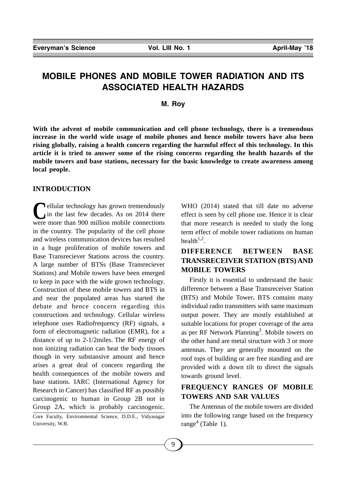# **MOBILE PHONES AND MOBILE TOWER RADIATION AND ITS ASSOCIATED HEALTH HAZARDS**

#### **M. Roy**

**With the advent of mobile communication and cell phone technology, there is a tremendous increase in the world wide usage of mobile phones and hence mobile towers have also been rising globally, raising a health concern regarding the harmful effect of this technology. In this article it is tried to answer some of the rising concerns regarding the health hazards of the mobile towers and base stations, necessary for the basic knowledge to create awareness among local people.**

#### **INTRODUCTION**

**C**ellular technology has grown tremendously<br>in the last few decades. As on 2014 there in the last few decades. As on 2014 there were more than 900 million mobile connections in the country. The popularity of the cell phone and wireless communication devices has resulted in a huge proliferation of mobile towers and Base Transreciever Stations across the country. A large number of BTSs (Base Transreciever Stations) and Mobile towers have been emerged to keep in pace with the wide grown technology. Construction of these mobile towers and BTS in and near the populated areas has started the debate and hence concern regarding this constructions and technology. Cellular wireless telephone uses Radiofrequency (RF) signals, a form of electromagnetic radiation (EMR), for a distance of up to 2-1/2miles. The RF energy of non ionizing radiation can heat the body tissues though in very substansive amount and hence arises a great deal of concern regarding the health consequences of the mobile towers and base stations. IARC (International Agency for Research in Cancer) has classified RF as possibly carcinogenic to human in Group 2B not in Group 2A, which is probably carcinogenic. Core Faculty, Environmental Science, D.D.E., Vidyasagar

University, W.B.

WHO (2014) stated that till date no adverse effect is seen by cell phone use. Hence it is clear that more research is needed to study the long term effect of mobile tower radiations on human health $1,2$ .

# **DIFFERENCE BETWEEN BASE TRANSRECEIVER STATION (BTS) AND MOBILE TOWERS**

Firstly it is essential to understand the basic difference between a Base Transreceiver Station (BTS) and Mobile Tower**.** BTS contains many individual radio transmitters with same maximum output power. They are mostly established at suitable locations for proper coverage of the area as per RF Network Planning<sup>3</sup>. Mobile towers on the other hand are metal structure with 3 or more antennas. They are generally mounted on the roof tops of building or are free standing and are provided with a down tilt to direct the signals towards ground level.

# **FREQUENCY RANGES OF MOBILE TOWERS AND SAR VALUES**

The Antennas of the mobile towers are divided into the following range based on the frequency range<sup>4</sup> (Table 1).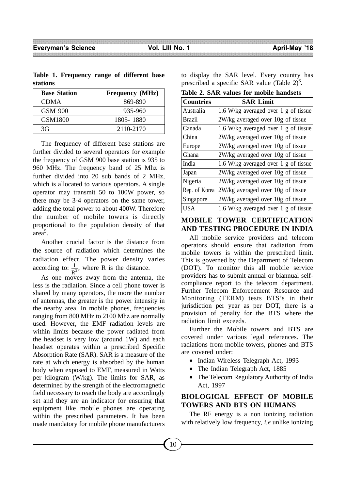|          | Table 1. Frequency range of different base |  |  |
|----------|--------------------------------------------|--|--|
| stations |                                            |  |  |

| <b>Base Station</b> | <b>Frequency</b> (MHz) |
|---------------------|------------------------|
| CDMA                | 869-890                |
| GSM 900             | 935-960                |
| GSM1800             | 1805-1880              |
| 3G                  | 2110-2170              |

The frequency of different base stations are further divided to several operators for example the frequency of GSM 900 base station is 935 to 960 MHz. The frequency band of 25 Mhz is further divided into 20 sub bands of 2 MHz, which is allocated to various operators. A single operator may transmit 50 to 100W power, so there may be 3-4 operators on the same tower, adding the total power to about 400W. Therefore the number of mobile towers is directly proportional to the population density of that area5 .

Another crucial factor is the distance from the source of radiation which determines the radiation effect. The power density varies according to:  $\frac{1}{n^2}$ , where R is the distance.  $R^2$ 

As one moves away from the antenna, the less is the radiation. Since a cell phone tower is shared by many operators, the more the number of antennas, the greater is the power intensity in the nearby area. In mobile phones, frequencies ranging from 800 MHz to 2100 Mhz are normally used. However, the EMF radiation levels are within limits because the power radiated from the headset is very low (around 1W) and each headset operates within a prescribed Specific Absorption Rate (SAR). SAR is a measure of the rate at which energy is absorbed by the human body when exposed to EMF, measured in Watts per kilogram (W/kg). The limits for SAR, as determined by the strength of the electromagnetic field necessary to reach the body are accordingly set and they are an indicator for ensuring that equipment like mobile phones are operating within the prescribed parameters. It has been made mandatory for mobile phone manufacturers

to display the SAR level. Every country has prescribed a specific SAR value (Table  $2)^6$ .

**Table 2. SAR values for mobile handsets**

| <b>Countries</b> | <b>SAR Limit</b>                     |
|------------------|--------------------------------------|
| Australia        | 1.6 W/kg averaged over 1 g of tissue |
| <b>Brazil</b>    | 2W/kg averaged over 10g of tissue    |
| Canada           | 1.6 W/kg averaged over 1 g of tissue |
| China            | 2W/kg averaged over 10g of tissue    |
| Europe           | 2W/kg averaged over 10g of tissue    |
| Ghana            | 2W/kg averaged over 10g of tissue    |
| India            | 1.6 W/kg averaged over 1 g of tissue |
| Japan            | $2W/kg$ averaged over 10g of tissue  |
| Nigeria          | 2W/kg averaged over 10g of tissue    |
| Rep. of Korea    | 2W/kg averaged over 10g of tissue    |
| Singapore        | 2W/kg averaged over 10g of tissue    |
| <b>USA</b>       | 1.6 W/kg averaged over 1 g of tissue |

# **MOBILE TOWER CERTIFICATION AND TESTING PROCEDURE IN INDIA**

All mobile service providers and telecom operators should ensure that radiation from mobile towers is within the prescribed limit. This is governed by the Department of Telecom (DOT). To monitor this all mobile service providers has to submit annual or biannual selfcompliance report to the telecom department. Further Telecom Enforecement Resource and Monitoring (TERM) tests BTS's in their jurisdiction per year as per DOT, there is a provision of penalty for the BTS where the radiation limit exceeds.

Further the Mobile towers and BTS are covered under various legal references. The radiations from mobile towers, phones and BTS are covered under:

- Indian Wireless Telegraph Act, 1993
- The Indian Telegraph Act, 1885
- The Telecom Regulatory Authority of India Act, 1997

# **BIOLOGICAL EFFECT OF MOBILE TOWERS AND BTS ON HUMANS**

The RF energy is a non ionizing radiation with relatively low frequency, *i.e* unlike ionizing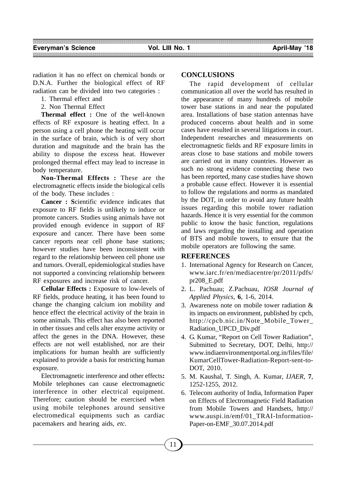radiation it has no effect on chemical bonds or D.N.A. Further the biological effect of RF radiation can be divided into two categories :

1. Thermal effect and

2. Non Thermal Effect

**Thermal effect :** One of the well-known effects of RF exposure is heating effect. In a person using a cell phone the heating will occur in the surface of brain, which is of very short duration and magnitude and the brain has the ability to dispose the excess heat. However prolonged thermal effect may lead to increase in body temperature.

**Non-Thermal Effects :** These are the electromagnetic effects inside the biological cells of the body. These includes :

**Cancer : S**cientific evidence indicates that exposure to RF fields is unlikely to induce or promote cancers. Studies using animals have not provided enough evidence in support of RF exposure and cancer. There have been some cancer reports near cell phone base stations; however studies have been inconsistent with regard to the relationship between cell phone use and tumors. Overall, epidemiological studies have not supported a convincing relationship between RF exposures and increase risk of cancer.

**Cellular Effects :** Exposure to low-levels of RF fields, produce heating, it has been found to change the changing calcium ion mobility and hence effect the electrical activity of the brain in some animals. This effect has also been reported in other tissues and cells alter enzyme activity or affect the genes in the DNA. However, these effects are not well established, nor are their implications for human health are sufficiently explained to provide a basis for restricting human exposure.

Electromagnetic interference and other effects**:** Mobile telephones can cause electromagnetic interference in other electrical equipment. Therefore; caution should be exercised when using mobile telephones around sensitive electromedical equipments such as cardiac pacemakers and hearing aids, *etc*.

#### **CONCLUSIONS**

The rapid development of cellular communication all over the world has resulted in the appearance of many hundreds of mobile tower base stations in and near the populated area. Installations of base station antennas have produced concerns about health and in some cases have resulted in several litigations in court. Independent researches and measurements on electromagnetic fields and RF exposure limits in areas close to base stations and mobile towers are carried out in many countries. However as such no strong evidence connecting these two has been reported, many case studies have shown a probable cause effect. However it is essential to follow the regulations and norms as mandated by the DOT, in order to avoid any future health issues regarding this mobile tower radiation hazards. Hence it is very essential for the common public to know the basic function, regulations and laws regarding the installing and operation of BTS and mobile towers, to ensure that the mobile operators are following the same.

#### **REFERENCES**

- 1. International Agency for Research on Cancer, www.iarc.fr/en/mediacentre/pr/2011/pdfs/ pr208\_E.pdf
- 2. L. Pachuau; Z.Pachuau, *IOSR Journal of Applied Physics,* **6**, 1-6, 2014.
- 3. Awareness note on mobile tower radiation & its impacts on environment, published by cpcb, http://cpcb.nic.in/Note\_Mobile\_Tower\_ Radiation\_UPCD\_Div.pdf
- 4. G. Kumar, "Report on Cell Tower Radiation", Submitted to Secretary, DOT, Delhi, http:// www.indiaenvironmentportal.org.in/files/file/ KumarCellTower-Radiation-Report-sent-to-DOT, 2010.
- 5. M. Kaushal, T. Singh, A. Kumar, *IJAER,* **7***,* 1252-1255, 2012.
- 6. Telecom authority of India, Information Paper on Effects of Electromagnetic Field Radiation from Mobile Towers and Handsets, http:// www.auspi.in/emf/01\_TRAI-Information-Paper-on-EMF\_30.07.2014.pdf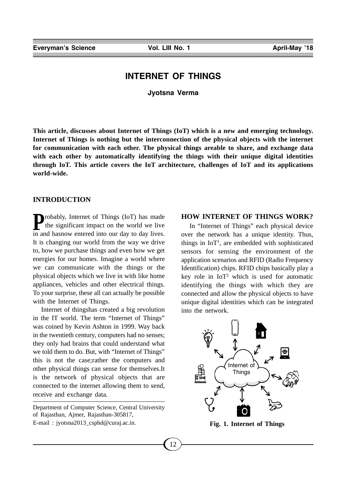# **INTERNET OF THINGS**

**Jyotsna Verma**

**This article, discusses about Internet of Things (IoT) which is a new and emerging technology. Internet of Things is nothing but the interconnection of the physical objects with the internet for communication with each other. The physical things areable to share, and exchange data with each other by automatically identifying the things with their unique digital identities through IoT. This article covers the IoT architecture, challenges of IoT and its applications world-wide.**

#### **INTRODUCTION**

**Probably, Internet of Things (IoT) has made<br>the significant impact on the world we live** the significant impact on the world we live in and hasnow entered into our day to day lives. It is changing our world from the way we drive to, how we purchase things and even how we get energies for our homes. Imagine a world where we can communicate with the things or the physical objects which we live in with like home appliances, vehicles and other electrical things. To your surprise, these all can actually be possible with the Internet of Things.

Internet of thingshas created a big revolution in the IT world. The term "Internet of Things" was coined by Kevin Ashton in 1999. Way back in the twentieth century, computers had no senses; they only had brains that could understand what we told them to do. But, with "Internet of Things" this is not the case;rather the computers and other physical things can sense for themselves.It is the network of physical objects that are connected to the internet allowing them to send, receive and exchange data.

Department of Computer Science, Central University of Rajasthan, Ajmer, Rajasthan-305817, E-mail : jyotsna2013\_csphd@curaj.ac.in.

## **HOW INTERNET OF THINGS WORK?**

In "Internet of Things" each physical device over the network has a unique identity. Thus, things in  $I \circ T^1$ , are embedded with sophisticated sensors for sensing the environment of the application scenarios and RFID (Radio Frequency Identification) chips. RFID chips basically play a key role in  $I\sigma T^2$  which is used for automatic identifying the things with which they are connected and allow the physical objects to have unique digital identities which can be integrated into the network.



**Fig. 1. Internet of Things**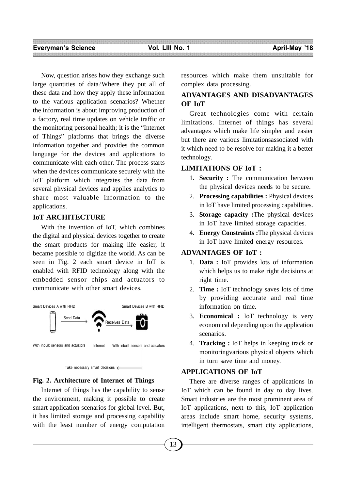Now, question arises how they exchange such large quantities of data?Where they put all of these data and how they apply these information to the various application scenarios? Whether the information is about improving production of a factory, real time updates on vehicle traffic or the monitoring personal health; it is the "Internet of Things" platforms that brings the diverse information together and provides the common language for the devices and applications to communicate with each other. The process starts when the devices communicate securely with the IoT platform which integrates the data from several physical devices and applies analytics to share most valuable information to the applications.

## **IoT ARCHITECTURE**

With the invention of IoT, which combines the digital and physical devices together to create the smart products for making life easier, it became possible to digitize the world. As can be seen in Fig. 2 each smart device in IoT is enabled with RFID technology along with the embedded sensor chips and actuators to communicate with other smart devices.



#### **Fig. 2. Architecture of Internet of Things**

Internet of things has the capability to sense the environment, making it possible to create smart application scenarios for global level. But, it has limited storage and processing capability with the least number of energy computation resources which make them unsuitable for complex data processing.

# **ADVANTAGES AND DISADVANTAGES OF IoT**

Great technologies come with certain limitations. Internet of things has several advantages which make life simpler and easier but there are various limitationsassociated with it which need to be resolve for making it a better technology.

#### **LIMITATIONS OF IoT :**

- 1. **Security :** The communication between the physical devices needs to be secure.
- 2. **Processing capabilities :** Physical devices in IoT have limited processing capabilities.
- 3. **Storage capacity :**The physical devices in IoT have limited storage capacities.
- 4. **Energy Constraints :**The physical devices in IoT have limited energy resources.

#### **ADVANTAGES OF IoT :**

- 1. **Data :** IoT provides lots of information which helps us to make right decisions at right time.
- 2. **Time :** IoT technology saves lots of time by providing accurate and real time information on time.
- 3. **Economical :** IoT technology is very economical depending upon the application scenarios.
- 4. **Tracking :** IoT helps in keeping track or monitoringvarious physical objects which in turn save time and money.

# **APPLICATIONS OF IoT**

There are diverse ranges of applications in IoT which can be found in day to day lives. Smart industries are the most prominent area of IoT applications, next to this, IoT application areas include smart home, security systems, intelligent thermostats, smart city applications,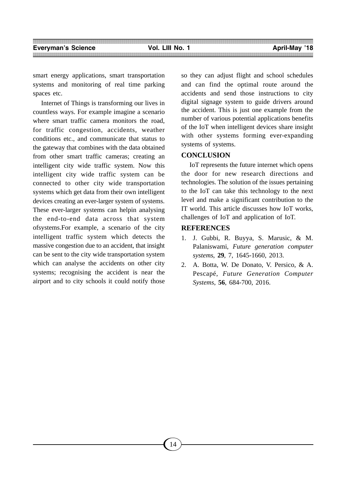smart energy applications, smart transportation systems and monitoring of real time parking spaces etc.

Internet of Things is transforming our lives in countless ways. For example imagine a scenario where smart traffic camera monitors the road, for traffic congestion, accidents, weather conditions etc., and communicate that status to the gateway that combines with the data obtained from other smart traffic cameras; creating an intelligent city wide traffic system. Now this intelligent city wide traffic system can be connected to other city wide transportation systems which get data from their own intelligent devices creating an ever-larger system of systems. These ever-larger systems can helpin analysing the end-to-end data across that system ofsystems.For example, a scenario of the city intelligent traffic system which detects the massive congestion due to an accident, that insight can be sent to the city wide transportation system which can analyse the accidents on other city systems; recognising the accident is near the airport and to city schools it could notify those so they can adjust flight and school schedules and can find the optimal route around the accidents and send those instructions to city digital signage system to guide drivers around the accident. This is just one example from the number of various potential applications benefits of the IoT when intelligent devices share insight with other systems forming ever-expanding systems of systems.

#### **CONCLUSION**

IoT represents the future internet which opens the door for new research directions and technologies. The solution of the issues pertaining to the IoT can take this technology to the next level and make a significant contribution to the IT world. This article discusses how IoT works, challenges of IoT and application of IoT.

# **REFERENCES**

- 1. J. Gubbi, R. Buyya, S. Marusic, & M. Palaniswami, *Future generation computer systems*, **29**, 7, 1645-1660, 2013.
- 2. A. Botta, W. De Donato, V. Persico, & A. Pescapé, *Future Generation Computer Systems*, **56**, 684-700, 2016.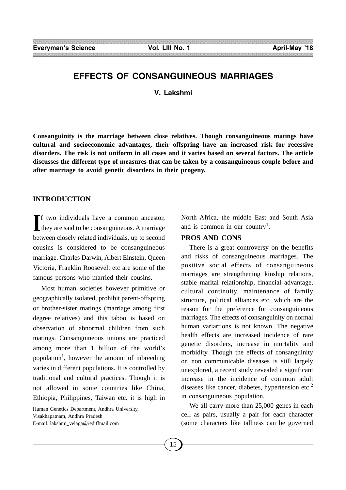# **EFFECTS OF CONSANGUINEOUS MARRIAGES**

**V. Lakshmi**

**Consanguinity is the marriage between close relatives. Though consanguineous matings have cultural and socioeconomic advantages, their offspring have an increased risk for recessive disorders. The risk is not uniform in all cases and it varies based on several factors. The article discusses the different type of measures that can be taken by a consanguineous couple before and after marriage to avoid genetic disorders in their progeny.**

#### **INTRODUCTION**

If two individuals have a common ancestor, they are said to be consanguineous. A marriage they are said to be consanguineous. A marriage between closely related individuals, up to second cousins is considered to be consanguineous marriage. Charles Darwin, Albert Einstein, Queen Victoria, Franklin Roosevelt etc are some of the famous persons who married their cousins.

Most human societies however primitive or geographically isolated, prohibit parent-offspring or brother-sister matings (marriage among first degree relatives) and this taboo is based on observation of abnormal children from such matings. Consanguineous unions are practiced among more than 1 billion of the world's population<sup>1</sup>, however the amount of inbreeding varies in different populations. It is controlled by traditional and cultural practices. Though it is not allowed in some countries like China, Ethiopia, Philippines, Taiwan etc. it is high in

Human Genetics Department, Andhra University, Visakhapatnam, Andhra Pradesh E-mail: lakshmi\_velaga@rediffmail.com

North Africa, the middle East and South Asia and is common in our country<sup>1</sup>.

### **PROS AND CONS**

There is a great controversy on the benefits and risks of consanguineous marriages. The positive social effects of consanguineous marriages are strengthening kinship relations, stable marital relationship, financial advantage, cultural continuity, maintenance of family structure, political alliances etc. which are the reason for the preference for consanguineous marriages. The effects of consanguinity on normal human variartions is not known. The negative health effects are increased incidence of rare genetic disorders, increase in mortality and morbidity. Though the effects of consanguinity on non communicable diseases is still largely unexplored, a recent study revealed a significant increase in the incidence of common adult diseases like cancer, diabetes, hypertension etc. $<sup>2</sup>$ </sup> in consanguineous population.

We all carry more than 25,000 genes in each cell as pairs, usually a pair for each character (some characters like tallness can be governed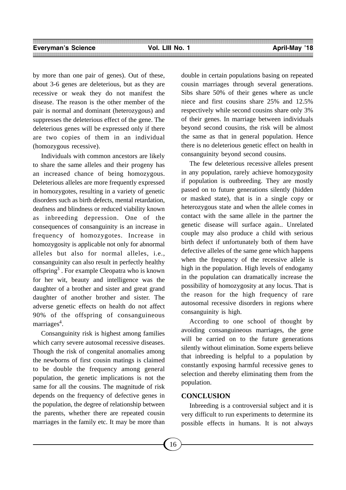by more than one pair of genes). Out of these, about 3-6 genes are deleterious, but as they are recessive or weak they do not manifest the disease. The reason is the other member of the pair is normal and dominant (heterozygous) and suppresses the deleterious effect of the gene. The deleterious genes will be expressed only if there are two copies of them in an individual (homozygous recessive).

Individuals with common ancestors are likely to share the same alleles and their progeny has an increased chance of being homozygous. Deleterious alleles are more frequently expressed in homozygotes, resulting in a variety of genetic disorders such as birth defects, mental retardation, deafness and blindness or reduced viability known as inbreeding depression. One of the consequences of consanguinity is an increase in frequency of homozygotes. Increase in homozygosity is applicable not only for abnormal alleles but also for normal alleles, i.e., consanguinity can also result in perfectly healthy offspring<sup>3</sup>. For example Cleopatra who is known for her wit, beauty and intelligence was the daughter of a brother and sister and great grand daughter of another brother and sister. The adverse genetic effects on health do not affect 90% of the offspring of consanguineous marriages<sup>4</sup>.

Consanguinity risk is highest among families which carry severe autosomal recessive diseases. Though the risk of congenital anomalies among the newborns of first cousin matings is claimed to be double the frequency among general population, the genetic implications is not the same for all the cousins. The magnitude of risk depends on the frequency of defective genes in the population, the degree of relationship between the parents, whether there are repeated cousin marriages in the family etc. It may be more than double in certain populations basing on repeated cousin marriages through several generations. Sibs share 50% of their genes where as uncle niece and first cousins share 25% and 12.5% respectively while second cousins share only 3% of their genes. In marriage between individuals beyond second cousins, the risk will be almost the same as that in general population. Hence there is no deleterious genetic effect on health in consanguinity beyond second cousins.

The few deleterious recessive alleles present in any population, rarely achieve homozygosity if population is outbreeding. They are mostly passed on to future generations silently (hidden or masked state), that is in a single copy or heterozygous state and when the allele comes in contact with the same allele in the partner the genetic disease will surface again.. Unrelated couple may also produce a child with serious birth defect if unfortunately both of them have defective alleles of the same gene which happens when the frequency of the recessive allele is high in the population. High levels of endogamy in the population can dramatically increase the possibility of homozygosity at any locus. That is the reason for the high frequency of rare autosomal recessive disorders in regions where consanguinity is high.

According to one school of thought by avoiding consanguineous marriages, the gene will be carried on to the future generations silently without elimination. Some experts believe that inbreeding is helpful to a population by constantly exposing harmful recessive genes to selection and thereby eliminating them from the population.

### **CONCLUSION**

Inbreeding is a controversial subject and it is very difficult to run experiments to determine its possible effects in humans. It is not always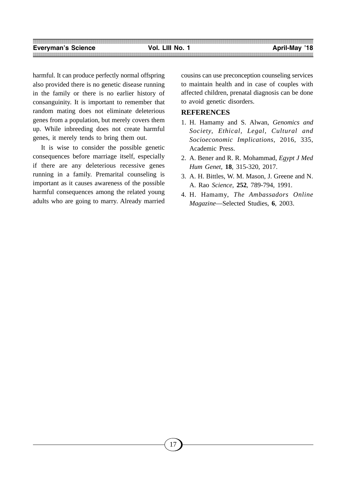harmful. It can produce perfectly normal offspring also provided there is no genetic disease running in the family or there is no earlier history of consanguinity. It is important to remember that random mating does not eliminate deleterious genes from a population, but merely covers them up. While inbreeding does not create harmful genes, it merely tends to bring them out.

It is wise to consider the possible genetic consequences before marriage itself, especially if there are any deleterious recessive genes running in a family. Premarital counseling is important as it causes awareness of the possible harmful consequences among the related young adults who are going to marry. Already married cousins can use preconception counseling services to maintain health and in case of couples with affected children, prenatal diagnosis can be done to avoid genetic disorders.

# **REFERENCES**

- 1. H. Hamamy and S. Alwan, *Genomics and Society, Ethical, Legal, Cultural and Socioeconomic Implications*, 2016, 335, Academic Press.
- 2. A. Bener and R. R. Mohammad, *Egypt J Med Hum Genet,* **18***,* 315-320, 2017.
- 3. A. H. Bittles, W. M. Mason, J. Greene and N. A. Rao *Science*, **252**, 789-794, 1991.
- 4. H. Hamamy, *The Ambassadors Online Magazine*—Selected Studies, **6**, 2003.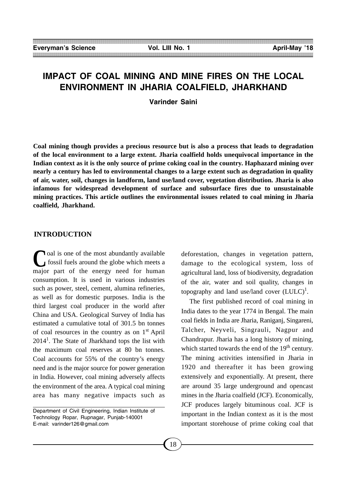# **IMPACT OF COAL MINING AND MINE FIRES ON THE LOCAL ENVIRONMENT IN JHARIA COALFIELD, JHARKHAND**

**Varinder Saini**

**Coal mining though provides a precious resource but is also a process that leads to degradation of the local environment to a large extent. Jharia coalfield holds unequivocal importance in the Indian context as it is the only source of prime coking coal in the country. Haphazard mining over nearly a century has led to environmental changes to a large extent such as degradation in quality of air, water, soil, changes in landform, land use/land cover, vegetation distribution. Jharia is also infamous for widespread development of surface and subsurface fires due to unsustainable mining practices. This article outlines the environmental issues related to coal mining in Jharia coalfield, Jharkhand.**

## **INTRODUCTION**

Coal is one of the most abundantly available<br>fossil fuels around the globe which meets a fossil fuels around the globe which meets a major part of the energy need for human consumption. It is used in various industries such as power, steel, cement, alumina refineries, as well as for domestic purposes. India is the third largest coal producer in the world after China and USA. Geological Survey of India has estimated a cumulative total of 301.5 bn tonnes of coal resources in the country as on  $1<sup>st</sup>$  April 2014<sup>1</sup>. The State of Jharkhand tops the list with the maximum coal reserves at 80 bn tonnes. Coal accounts for 55% of the country's energy need and is the major source for power generation in India. However, coal mining adversely affects the environment of the area. A typical coal mining area has many negative impacts such as

deforestation, changes in vegetation pattern, damage to the ecological system, loss of agricultural land, loss of biodiversity, degradation of the air, water and soil quality, changes in topography and land use/land cover  $(LULC)^{1}$ .

The first published record of coal mining in India dates to the year 1774 in Bengal. The main coal fields in India are Jharia, Raniganj, Singareni, Talcher, Neyveli, Singrauli, Nagpur and Chandrapur. Jharia has a long history of mining, which started towards the end of the  $19<sup>th</sup>$  century. The mining activities intensified in Jharia in 1920 and thereafter it has been growing extensively and exponentially. At present, there are around 35 large underground and opencast mines in the Jharia coalfield (JCF). Economically, JCF produces largely bituminous coal. JCF is important in the Indian context as it is the most important storehouse of prime coking coal that

Department of Civil Engineering, Indian Institute of Technology Ropar, Rupnagar, Punjab-140001 E-mail: varinder126@gmail.com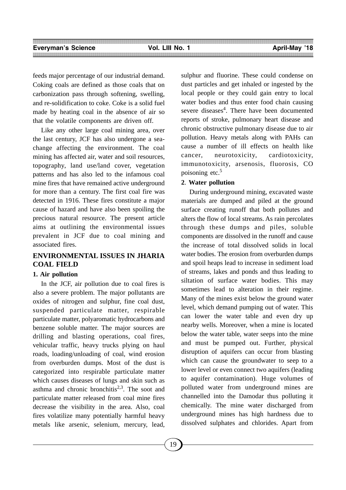feeds major percentage of our industrial demand. Coking coals are defined as those coals that on carbonization pass through softening, swelling, and re-solidification to coke. Coke is a solid fuel made by heating coal in the absence of air so that the volatile components are driven off.

Like any other large coal mining area, over the last century, JCF has also undergone a seachange affecting the environment. The coal mining has affected air, water and soil resources, topography, land use/land cover, vegetation patterns and has also led to the infamous coal mine fires that have remained active underground for more than a century. The first coal fire was detected in 1916. These fires constitute a major cause of hazard and have also been spoiling the precious natural resource. The present article aims at outlining the environmental issues prevalent in JCF due to coal mining and associated fires.

# **ENVIRONMENTAL ISSUES IN JHARIA COAL FIELD**

#### **1. Air pollution**

In the JCF, air pollution due to coal fires is also a severe problem. The major pollutants are oxides of nitrogen and sulphur, fine coal dust, suspended particulate matter, respirable particulate matter, polyaromatic hydrocarbons and benzene soluble matter. The major sources are drilling and blasting operations, coal fires, vehicular traffic, heavy trucks plying on haul roads, loading/unloading of coal, wind erosion from overburden dumps. Most of the dust is categorized into respirable particulate matter which causes diseases of lungs and skin such as asthma and chronic bronchitis<sup>2,3</sup>. The soot and particulate matter released from coal mine fires decrease the visibility in the area. Also, coal fires volatilize many potentially harmful heavy metals like arsenic, selenium, mercury, lead, sulphur and fluorine. These could condense on dust particles and get inhaled or ingested by the local people or they could gain entry to local water bodies and thus enter food chain causing severe diseases<sup>4</sup>. There have been documented reports of stroke, pulmonary heart disease and chronic obstructive pulmonary disease due to air pollution. Heavy metals along with PAHs can cause a number of ill effects on health like cancer, neurotoxicity, cardiotoxicity, immunotoxicity, arsenosis, fluorosis, CO poisoning etc.5

#### **2**. **Water pollution**

During underground mining, excavated waste materials are dumped and piled at the ground surface creating runoff that both pollutes and alters the flow of local streams. As rain percolates through these dumps and piles, soluble components are dissolved in the runoff and cause the increase of total dissolved solids in local water bodies. The erosion from overburden dumps and spoil heaps lead to increase in sediment load of streams, lakes and ponds and thus leading to siltation of surface water bodies. This may sometimes lead to alteration in their regime. Many of the mines exist below the ground water level, which demand pumping out of water. This can lower the water table and even dry up nearby wells. Moreover, when a mine is located below the water table, water seeps into the mine and must be pumped out. Further, physical disruption of aquifers can occur from blasting which can cause the groundwater to seep to a lower level or even connect two aquifers (leading to aquifer contamination). Huge volumes of polluted water from underground mines are channelled into the Damodar thus polluting it chemically. The mine water discharged from underground mines has high hardness due to dissolved sulphates and chlorides. Apart from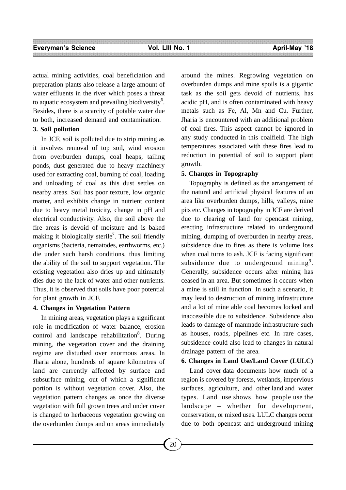actual mining activities, coal beneficiation and preparation plants also release a large amount of water effluents in the river which poses a threat to aquatic ecosystem and prevailing biodiversity<sup>6</sup>. Besides, there is a scarcity of potable water due to both, increased demand and contamination.

#### **3. Soil pollution**

In JCF, soil is polluted due to strip mining as it involves removal of top soil, wind erosion from overburden dumps, coal heaps, tailing ponds, dust generated due to heavy machinery used for extracting coal, burning of coal, loading and unloading of coal as this dust settles on nearby areas. Soil has poor texture, low organic matter, and exhibits change in nutrient content due to heavy metal toxicity, change in pH and electrical conductivity. Also, the soil above the fire areas is devoid of moisture and is baked making it biologically sterile<sup>7</sup>. The soil friendly organisms (bacteria, nematodes, earthworms, etc.) die under such harsh conditions, thus limiting the ability of the soil to support vegetation. The existing vegetation also dries up and ultimately dies due to the lack of water and other nutrients. Thus, it is observed that soils have poor potential for plant growth in JCF.

#### **4. Changes in Vegetation Pattern**

In mining areas, vegetation plays a significant role in modification of water balance, erosion control and landscape rehabilitation<sup>8</sup>. During mining, the vegetation cover and the draining regime are disturbed over enormous areas. In Jharia alone, hundreds of square kilometres of land are currently affected by surface and subsurface mining, out of which a significant portion is without vegetation cover. Also, the vegetation pattern changes as once the diverse vegetation with full grown trees and under cover is changed to herbaceous vegetation growing on the overburden dumps and on areas immediately

around the mines. Regrowing vegetation on overburden dumps and mine spoils is a gigantic task as the soil gets devoid of nutrients, has acidic pH, and is often contaminated with heavy metals such as Fe, Al, Mn and Cu. Further, Jharia is encountered with an additional problem of coal fires. This aspect cannot be ignored in any study conducted in this coalfield. The high temperatures associated with these fires lead to reduction in potential of soil to support plant growth.

#### **5. Changes in Topography**

Topography is defined as the arrangement of the natural and artificial physical features of an area like overburden dumps, hills, valleys, mine pits etc. Changes in topography in JCF are derived due to clearing of land for opencast mining, erecting infrastructure related to underground mining, dumping of overburden in nearby areas, subsidence due to fires as there is volume loss when coal turns to ash. JCF is facing significant subsidence due to underground mining<sup>9</sup>. Generally, subsidence occurs after mining has ceased in an area. But sometimes it occurs when a mine is still in function. In such a scenario, it may lead to destruction of mining infrastructure and a lot of mine able coal becomes locked and inaccessible due to subsidence. Subsidence also leads to damage of manmade infrastructure such as houses, roads, pipelines etc. In rare cases, subsidence could also lead to changes in natural drainage pattern of the area.

#### **6. Changes in Land Use/Land Cover (LULC)**

Land cover data documents how much of a region is covered by forests, wetlands, impervious surfaces, agriculture, and other land and water types. Land use shows how people use the landscape – whether for development, conservation, or mixed uses. LULC changes occur due to both opencast and underground mining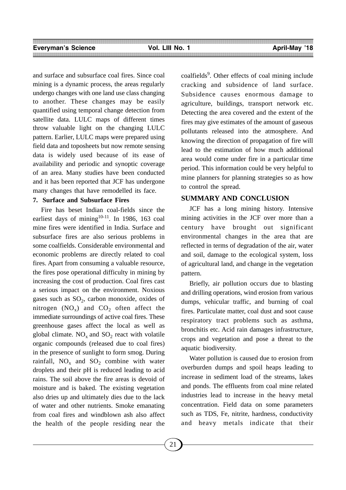and surface and subsurface coal fires. Since coal mining is a dynamic process, the areas regularly undergo changes with one land use class changing to another. These changes may be easily quantified using temporal change detection from satellite data. LULC maps of different times throw valuable light on the changing LULC pattern. Earlier, LULC maps were prepared using field data and toposheets but now remote sensing data is widely used because of its ease of availability and periodic and synoptic coverage of an area. Many studies have been conducted and it has been reported that JCF has undergone many changes that have remodelled its face.

#### **7. Surface and Subsurface Fires**

Fire has beset Indian coal-fields since the earliest days of mining<sup>10-11</sup>. In 1986, 163 coal mine fires were identified in India. Surface and subsurface fires are also serious problems in some coalfields. Considerable environmental and economic problems are directly related to coal fires. Apart from consuming a valuable resource, the fires pose operational difficulty in mining by increasing the cost of production. Coal fires cast a serious impact on the environment. Noxious gases such as  $SO_2$ , carbon monoxide, oxides of nitrogen  $(NO_x)$  and  $CO_2$  often affect the immediate surroundings of active coal fires. These greenhouse gases affect the local as well as global climate.  $NO_x$  and  $SO_2$  react with volatile organic compounds (released due to coal fires) in the presence of sunlight to form smog. During rainfall,  $NO_x$  and  $SO_2$  combine with water droplets and their pH is reduced leading to acid rains. The soil above the fire areas is devoid of moisture and is baked. The existing vegetation also dries up and ultimately dies due to the lack of water and other nutrients. Smoke emanating from coal fires and windblown ash also affect the health of the people residing near the

coalfields<sup>9</sup>. Other effects of coal mining include cracking and subsidence of land surface. Subsidence causes enormous damage to agriculture, buildings, transport network etc. Detecting the area covered and the extent of the fires may give estimates of the amount of gaseous pollutants released into the atmosphere. And knowing the direction of propagation of fire will lead to the estimation of how much additional area would come under fire in a particular time period. This information could be very helpful to mine planners for planning strategies so as how to control the spread.

## **SUMMARY AND CONCLUSION**

JCF has a long mining history. Intensive mining activities in the JCF over more than a century have brought out significant environmental changes in the area that are reflected in terms of degradation of the air, water and soil, damage to the ecological system, loss of agricultural land, and change in the vegetation pattern.

Briefly, air pollution occurs due to blasting and drilling operations, wind erosion from various dumps, vehicular traffic, and burning of coal fires. Particulate matter, coal dust and soot cause respiratory tract problems such as asthma, bronchitis etc. Acid rain damages infrastructure, crops and vegetation and pose a threat to the aquatic biodiversity.

Water pollution is caused due to erosion from overburden dumps and spoil heaps leading to increase in sediment load of the streams, lakes and ponds. The effluents from coal mine related industries lead to increase in the heavy metal concentration. Field data on some parameters such as TDS, Fe, nitrite, hardness, conductivity and heavy metals indicate that their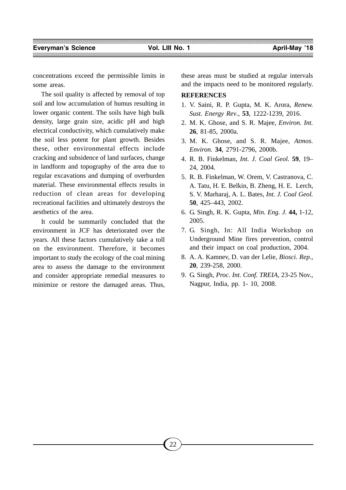concentrations exceed the permissible limits in some areas.

The soil quality is affected by removal of top soil and low accumulation of humus resulting in lower organic content. The soils have high bulk density, large grain size, acidic pH and high electrical conductivity, which cumulatively make the soil less potent for plant growth. Besides these, other environmental effects include cracking and subsidence of land surfaces, change in landform and topography of the area due to regular excavations and dumping of overburden material. These environmental effects results in reduction of clean areas for developing recreational facilities and ultimately destroys the aesthetics of the area.

It could be summarily concluded that the environment in JCF has deteriorated over the years. All these factors cumulatively take a toll on the environment. Therefore, it becomes important to study the ecology of the coal mining area to assess the damage to the environment and consider appropriate remedial measures to minimize or restore the damaged areas. Thus,

these areas must be studied at regular intervals and the impacts need to be monitored regularly.

#### **REFERENCES**

- 1. V. Saini, R. P. Gupta, M. K. Arora, *Renew. Sust. Energy Rev*., **53**, 1222-1239, 2016.
- 2. M. K. Ghose, and S. R. Majee, *Environ. Int.* **26**, 81-85, 2000a.
- 3. M. K. Ghose, and S. R. Majee, *Atmos. Environ.* **34**, 2791-2796, 2000b.
- 4. R. B. Finkelman, *Int. J. Coal Geol.* **59**, 19– 24, 2004.
- 5. R. B. Finkelman, W. Orem, V. Castranova, C. A. Tatu, H. E. Belkin, B. Zheng, H. E. Lerch, S. V. Marharaj, A. L. Bates, *Int. J. Coal Geol.* **50**, 425–443, 2002.
- 6. G. Singh, R. K. Gupta, *Min. Eng. J.* **44,** 1-12, 2005.
- 7. G. Singh, In: All India Workshop on Underground Mine fires prevention, control and their impact on coal production, 2004.
- 8. A. A. Kamnev, D. van der Lelie, *Biosci. Rep.,* **20**, 239-258, 2000.
- 9. G. Singh, *Proc. Int. Conf. TREIA*, 23-25 Nov., Nagpur, India, pp. 1- 10, 2008.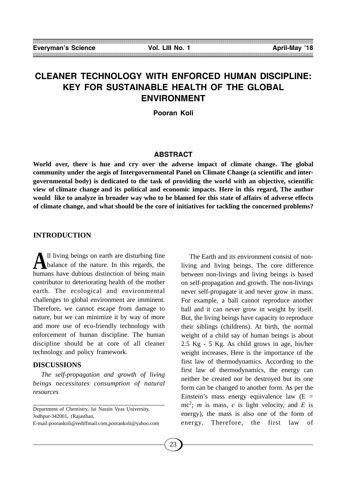# **CLEANER TECHNOLOGY WITH ENFORCED HUMAN DISCIPLINE: KEY FOR SUSTAINABLE HEALTH OF THE GLOBAL ENVIRONMENT**

**Pooran Koli**

#### **ABSTRACT**

**World over, there is hue and cry over the adverse impact of climate change. The global community under the aegis of Intergovernmental Panel on Climate Change (a scientific and intergovernmental body) is dedicated to the task of providing the world with an objective, scientific view of climate change and its political and economic impacts. Here in this regard, The author would like to analyze in broader way who to be blamed for this state of affairs of adverse effects of climate change, and what should be the core of initiatives for tackling the concerned problems?**

#### **INTRODUCTION**

**A**ll living beings on earth are disturbing fine<br>balance of the nature. In this regards, the humans have dubious distinction of being main contributor to deteriorating health of the mother earth. The ecological and environmental challenges to global environment are imminent. Therefore, we cannot escape from damage to nature, but we can minimize it by way of more and more use of eco-friendly technology with enforcement of human discipline. The human discipline should be at core of all cleaner technology and policy framework.

#### **DISCUSSIONS**

*The self-propagation and growth of living beings necessitates consumption of natural resources*

The Earth and its environment consist of nonliving and living beings. The core difference between non-livings and living beings is based on self-propagation and growth. The non-livings never self-propagate it and never grow in mass. For example, a ball cannot reproduce another ball and it can never grow in weight by itself. But, the living beings have capacity to reproduce their siblings (childrens). At birth, the normal weight of a child say of human beings is about 2.5 Kg - 5 Kg. As child grows in age, his/her weight increases. Here is the importance of the first law of thermodynamics. According to the first law of thermodynamics, the energy can neither be created nor be destroyed but its one form can be changed to another form. As per the Einstein's mass energy equivalence law  $(E =$ mc<sup>2</sup>; *m* is mass, *c* is light velocity, and *E* is energy), the mass is also one of the form of energy. Therefore, the first law of

Department of Chemistry, Jai Narain Vyas University, Jodhpur-342001, (Rajasthan,

E-mail:poorankoli@rediffmail.com,poorankoli@yahoo.com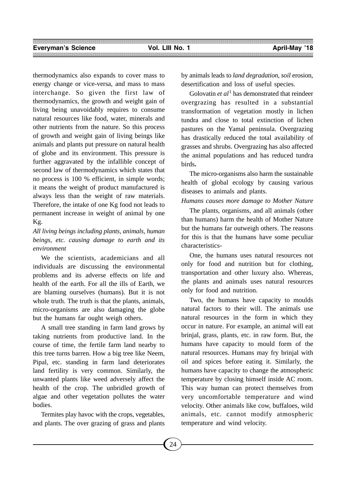thermodynamics also expands to cover mass to energy change or vice-versa, and mass to mass interchange. So given the first law of thermodynamics, the growth and weight gain of living being unavoidably requires to consume natural resources like food, water, minerals and other nutrients from the nature. So this process of growth and weight gain of living beings like animals and plants put pressure on natural health of globe and its environment. This pressure is further aggravated by the infallible concept of second law of thermodynamics which states that no process is 100 % efficient, in simple words; it means the weight of product manufactured is always less than the weight of raw materials. Therefore, the intake of one Kg food not leads to permanent increase in weight of animal by one Kg.

*All living beings including plants, animals, human beings, etc. causing damage to earth and its environment*

We the scientists, academicians and all individuals are discussing the environmental problems and its adverse effects on life and health of the earth. For all the ills of Earth, we are blaming ourselves (humans). But it is not whole truth. The truth is that the plants, animals, micro-organisms are also damaging the globe but the humans far ought weigh others.

A small tree standing in farm land grows by taking nutrients from productive land. In the course of time, the fertile farm land nearby to this tree turns barren. How a big tree like Neem, Pipal, etc. standing in farm land deteriorates land fertility is very common. Similarly, the unwanted plants like weed adversely affect the health of the crop. The unbridled growth of algae and other vegetation pollutes the water bodies.

Termites play havoc with the crops, vegetables, and plants. The over grazing of grass and plants

by animals leads to *land degradation*, *soil* erosion, desertification and loss of useful species.

Golovatin *et al*<sup>1</sup> has demonstrated that reindeer overgrazing has resulted in a substantial transformation of vegetation mostly in lichen tundra and close to total extinction of lichen pastures on the Yamal peninsula. Overgrazing has drastically reduced the total availability of grasses and shrubs. Overgrazing has also affected the animal populations and has reduced tundra birds**.**

The micro-organisms also harm the sustainable health of global ecology by causing various diseases to animals and plants.

#### *Humans causes more damage to Mother Nature*

The plants, organisms, and all animals (other than humans) harm the health of Mother Nature but the humans far outweigh others. The reasons for this is that the humans have some peculiar characteristics-

One, the humans uses natural resources not only for food and nutrition but for clothing, transportation and other luxury also. Whereas, the plants and animals uses natural resources only for food and nutrition.

Two, the humans have capacity to moulds natural factors to their will. The animals use natural resources in the form in which they occur in nature. For example, an animal will eat brinjal, grass, plants, etc. in raw form. But, the humans have capacity to mould form of the natural resources. Humans may fry brinjal with oil and spices before eating it. Similarly, the humans have capacity to change the atmospheric temperature by closing himself inside AC room. This way human can protect themselves from very uncomfortable temperature and wind velocity. Other animals like cow, buffaloes, wild animals, etc. cannot modify atmospheric temperature and wind velocity.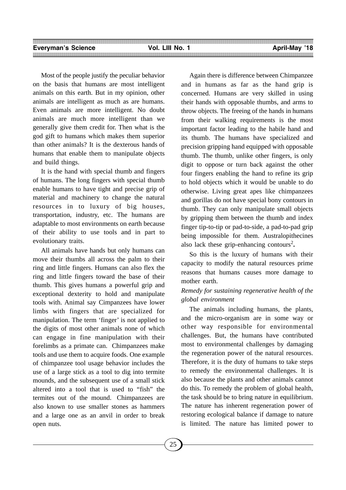Most of the people justify the peculiar behavior on the basis that humans are most intelligent animals on this earth. But in my opinion, other animals are intelligent as much as are humans. Even animals are more intelligent. No doubt animals are much more intelligent than we generally give them credit for. Then what is the god gift to humans which makes them superior than other animals? It is the dexterous hands of humans that enable them to manipulate objects and build things.

It is the hand with special thumb and fingers of humans. The long fingers with special thumb enable humans to have tight and precise grip of material and machinery to change the natural resources in to luxury of big houses, transportation, industry, etc. The humans are adaptable to most environments on earth because of their ability to use tools and in part to evolutionary traits.

All animals have hands but only humans can move their thumbs all across the palm to their ring and little fingers. Humans can also flex the ring and little fingers toward the base of their thumb. This gives humans a powerful grip and exceptional dexterity to hold and manipulate tools with. Animal say Cimpanzees have lower limbs with fingers that are specialized for manipulation. The term 'finger' is not applied to the digits of most other animals none of which can engage in fine manipulation with their forelimbs as a primate can. Chimpanzees make tools and use them to acquire foods. One example of chimpanzee tool usage behavior includes the use of a large stick as a tool to dig into termite mounds, and the subsequent use of a small stick altered into a tool that is used to "fish" the termites out of the mound. Chimpanzees are also known to use smaller stones as hammers and a large one as an anvil in order to break open nuts.

Again there is difference between Chimpanzee and in humans as far as the hand grip is concerned. Humans are very skilled in using their hands with opposable thumbs, and arms to throw objects. The freeing of the hands in humans from their walking requirements is the most important factor leading to the habile hand and its thumb. The humans have specialized and precision gripping hand equipped with opposable thumb. The thumb, unlike other fingers, is only digit to oppose or turn back against the other four fingers enabling the hand to refine its grip to hold objects which it would be unable to do otherwise. Living great apes like chimpanzees and gorillas do not have special bony contours in thumb. They can only manipulate small objects by gripping them between the thumb and index finger tip-to-tip or pad-to-side, a pad-to-pad grip being impossible for them. Australopithecines also lack these grip-enhancing contours<sup>2</sup>.

So this is the luxury of humans with their capacity to modify the natural resources prime reasons that humans causes more damage to mother earth.

# *Remedy for sustaining regenerative health of the global environment*

The animals including humans, the plants, and the micro-organism are in some way or other way responsible for environmental challenges. But, the humans have contributed most to environmental challenges by damaging the regeneration power of the natural resources. Therefore, it is the duty of humans to take steps to remedy the environmental challenges. It is also because the plants and other animals cannot do this. To remedy the problem of global health, the task should be to bring nature in equilibrium. The nature has inherent regeneration power of restoring ecological balance if damage to nature is limited. The nature has limited power to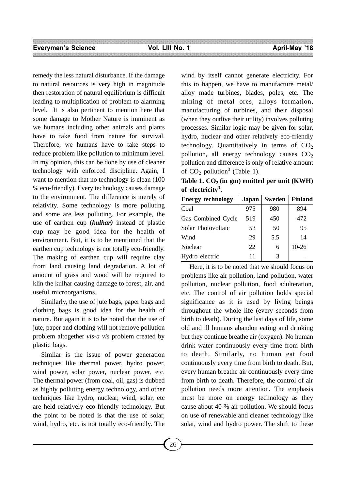remedy the less natural disturbance. If the damage to natural resources is very high in magnitude then restoration of natural equilibrium is difficult leading to multiplication of problem to alarming level. It is also pertinent to mention here that some damage to Mother Nature is imminent as we humans including other animals and plants have to take food from nature for survival. Therefore, we humans have to take steps to reduce problem like pollution to minimum level. In my opinion, this can be done by use of cleaner technology with enforced discipline. Again, I want to mention that no technology is clean  $(100)$ % eco-friendly). Every technology causes damage to the environment. The difference is merely of relativity. Some technology is more polluting and some are less polluting. For example, the use of earthen cup (*kulhar)* instead of plastic cup may be good idea for the health of environment. But, it is to be mentioned that the earthen cup technology is not totally eco-friendly. The making of earthen cup will require clay from land causing land degradation. A lot of amount of grass and wood will be required to klin the kulhar causing damage to forest, air, and useful microorganisms.

Similarly, the use of jute bags, paper bags and clothing bags is good idea for the health of nature. But again it is to be noted that the use of jute, paper and clothing will not remove pollution problem altogether *vis-a vis* problem created by plastic bags.

Similar is the issue of power generation techniques like thermal power, hydro power, wind power, solar power, nuclear power, etc. The thermal power (from coal, oil, gas) is dubbed as highly polluting energy technology, and other techniques like hydro, nuclear, wind, solar, etc are held relatively eco-friendly technology. But the point to be noted is that the use of solar, wind, hydro, etc. is not totally eco-friendly. The

wind by itself cannot generate electricity. For this to happen, we have to manufacture metal/ alloy made turbines, blades, poles, etc. The mining of metal ores, alloys formation, manufacturing of turbines, and their disposal (when they outlive their utility) involves polluting processes. Similar logic may be given for solar, hydro, nuclear and other relatively eco-friendly technology. Quantitatively in terms of  $CO<sub>2</sub>$ pollution, all energy technology causes  $CO<sub>2</sub>$ pollution and difference is only of relative amount of  $CO_2$  pollution<sup>3</sup> (Table 1).

Table 1.  $CO<sub>2</sub>$  (in gm) emitted per unit (KWH) **of electricity3 .**

| <b>Energy technology</b> | Japan | <b>Sweden</b> | <b>Finland</b> |
|--------------------------|-------|---------------|----------------|
| Coal                     | 975   | 980           | 894            |
| Gas Combined Cycle       | 519   | 450           | 472            |
| Solar Photovoltaic       | 53    | 50            | 95             |
| Wind                     | 29    | 5.5           | 14             |
| <b>Nuclear</b>           | 22    | 6             | $10-26$        |
| Hydro electric           | 11    | 3             |                |

Here, it is to be noted that we should focus on problems like air pollution, land pollution, water pollution, nuclear pollution, food adulteration, etc. The control of air pollution holds special significance as it is used by living beings throughout the whole life (every seconds from birth to death). During the last days of life, some old and ill humans abandon eating and drinking but they continue breathe air (oxygen). No human drink water continuously every time from birth to death. Similarly, no human eat food continuously every time from birth to death. But, every human breathe air continuously every time from birth to death. Therefore, the control of air pollution needs more attention. The emphasis must be more on energy technology as they cause about 40 % air pollution. We should focus on use of renewable and cleaner technology like solar, wind and hydro power. The shift to these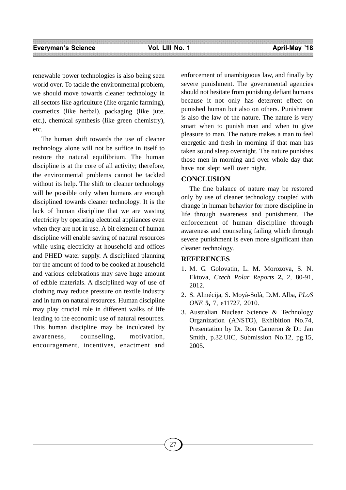renewable power technologies is also being seen world over. To tackle the environmental problem, we should move towards cleaner technology in all sectors like agriculture (like organic farming), cosmetics (like herbal), packaging (like jute, etc.), chemical synthesis (like green chemistry), etc.

The human shift towards the use of cleaner technology alone will not be suffice in itself to restore the natural equilibrium. The human discipline is at the core of all activity; therefore, the environmental problems cannot be tackled without its help. The shift to cleaner technology will be possible only when humans are enough disciplined towards cleaner technology. It is the lack of human discipline that we are wasting electricity by operating electrical appliances even when they are not in use. A bit element of human discipline will enable saving of natural resources while using electricity at household and offices and PHED water supply. A disciplined planning for the amount of food to be cooked at household and various celebrations may save huge amount of edible materials. A disciplined way of use of clothing may reduce pressure on textile industry and in turn on natural resources. Human discipline may play crucial role in different walks of life leading to the economic use of natural resources. This human discipline may be inculcated by awareness, counseling, motivation, encouragement, incentives, enactment and

enforcement of unambiguous law, and finally by severe punishment. The governmental agencies should not hesitate from punishing defiant humans because it not only has deterrent effect on punished human but also on others. Punishment is also the law of the nature. The nature is very smart when to punish man and when to give pleasure to man. The nature makes a man to feel energetic and fresh in morning if that man has taken sound sleep overnight. The nature punishes those men in morning and over whole day that have not slept well over night.

# **CONCLUSION**

The fine balance of nature may be restored only by use of cleaner technology coupled with change in human behavior for more discipline in life through awareness and punishment. The enforcement of human discipline through awareness and counseling failing which through severe punishment is even more significant than cleaner technology.

# **REFERENCES**

- 1. M. G. Golovatin, L. M. Morozova, S. N. Ektova, *Czech Polar Reports* **2,** 2, 80-91, 2012.
- 2. S. Almécija, S. Moyà-Solà, D.M. Alba, *PLoS ONE* **5,** 7, e11727, 2010.
- 3. Australian Nuclear Science & Technology Organization (ANSTO), Exhibition No.74, Presentation by Dr. Ron Cameron & Dr. Jan Smith, p.32.UIC, Submission No.12, pg.15, 2005.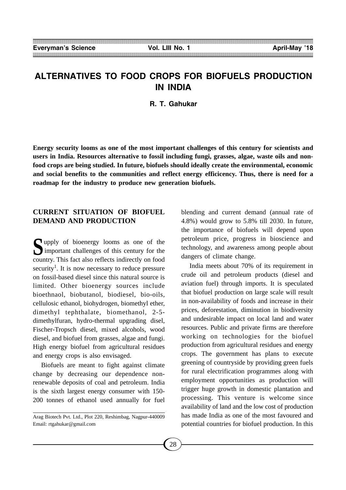# **ALTERNATIVES TO FOOD CROPS FOR BIOFUELS PRODUCTION IN INDIA**

**R. T. Gahukar**

**Energy security looms as one of the most important challenges of this century for scientists and users in India. Resources alternative to fossil including fungi, grasses, algae, waste oils and nonfood crops are being studied. In future, biofuels should ideally create the environmental, economic and social benefits to the communities and reflect energy efficicency. Thus, there is need for a roadmap for the industry to produce new generation biofuels.**

# **CURRENT SITUATION OF BIOFUEL DEMAND AND PRODUCTION**

**S**upply of bioenergy looms as one of the<br>
important challenges of this century for the country. This fact also reflects indirectly on food security<sup>1</sup>. It is now necessary to reduce pressure on fossil-based diesel since this natural source is limited. Other bioenergy sources include bioethnaol, biobutanol, biodiesel, bio-oils, cellulosic ethanol, biohydrogen, biomethyl ether, dimethyl tephthalate, biomethanol, 2-5 dimethylfuran, hydro-thermal upgrading disel, Fischer-Tropsch diesel, mixed alcohols, wood diesel, and biofuel from grasses, algae and fungi. High energy biofuel from agricultural residues and energy crops is also envisaged.

Biofuels are meant to fight against climate change by decreasing our dependence nonrenewable deposits of coal and petroleum. India is the sixth largest energy consumer with 150- 200 tonnes of ethanol used annually for fuel blending and current demand (annual rate of 4.8%) would grow to 5.8% till 2030. In future, the importance of biofuels will depend upon petroleum price, progress in bioscience and technology, and awareness among people about dangers of climate change.

India meets about 70% of its requirement in crude oil and petroleum products (diesel and aviation fuel) through imports. It is speculated that biofuel production on large scale will result in non-availability of foods and increase in their prices, deforestation, diminution in biodiversity and undesirable impact on local land and water resources. Public and private firms are therefore working on technologies for the biofuel production from agricultural residues and energy crops. The government has plans to execute greening of countryside by providing green fuels for rural electrification programmes along with employment opportunities as production will trigger huge growth in domestic plantation and processing. This venture is welcome since availability of land and the low cost of production has made India as one of the most favoured and potential countries for biofuel production. In this

Arag Biotech Pvt. Ltd., Plot 220, Reshimbag, Nagpur-440009 Email: rtgahukar@gmail.com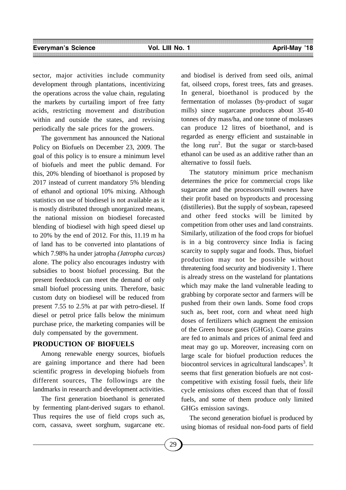sector, major activities include community development through plantations, incentivizing the operations across the value chain, regulating the markets by curtailing import of free fatty acids, restricting movement and distribution within and outside the states, and revising periodically the sale prices for the growers.

The government has announced the National Policy on Biofuels on December 23, 2009. The goal of this policy is to ensure a minimum level of biofuels and meet the public demand. For this, 20% blending of bioethanol is proposed by 2017 instead of current mandatory 5% blending of ethanol and optional 10% mixing. Although statistics on use of biodiesel is not available as it is mostly distributed through unorganized means, the national mission on biodiesel forecasted blending of biodiesel with high speed diesel up to 20% by the end of 2012. For this, 11.19 m ha of land has to be converted into plantations of which 7.98% ha under jatropha *(Jatropha curcas)* alone. The policy also encourages industry with subsidies to boost biofuel processing. But the present feedstock can meet the demand of only small biofuel processing units. Therefore, basic custom duty on biodiesel will be reduced from present 7.55 to 2.5% at par with petro-diesel. If diesel or petrol price falls below the minimum purchase price, the marketing companies will be duly compensated by the government.

## **PRODUCTION OF BIOFUELS**

Among renewable energy sources, biofuels are gaining importance and there had been scientific progress in developing biofuels from different sources, The followings are the landmarks in research and development activities.

The first generation bioethanol is generated by fermenting plant-derived sugars to ethanol. Thus requires the use of field crops such as, corn, cassava, sweet sorghum, sugarcane etc.

and biodisel is derived from seed oils, animal fat, oilseed crops, forest trees, fats and greases. In general, bioethanol is produced by the fermentation of molasses (by-product of sugar mills) since sugarcane produces about 35-40 tonnes of dry mass/ha, and one tonne of molasses can produce 12 litres of bioethanol, and is regarded as energy efficient and sustainable in the long  $run^2$ . But the sugar or starch-based ethanol can be used as an additive rather than an alternative to fossil fuels.

The statutory minimum price mechanism determines the price for commercial crops like sugarcane and the processors/mill owners have their profit based on byproducts and processing (distilleries). But the supply of soybean, rapeseed and other feed stocks will be limited by competition from other uses and land constraints. Similarly, utilization of the food crops for biofuel is in a big controvercy since India is facing scarcity to supply sugar and foods. Thus, biofuel production may not be possible without threatening food security and biodiversity 1. There is already stress on the wasteland for plantations which may make the land vulnerable leading to grabbing by corporate sector and farmers will be pushed from their own lands. Some food crops such as, beet root, corn and wheat need high doses of fertilizers which augment the emission of the Green house gases (GHGs). Coarse grains are fed to animals and prices of animal feed and meat may go up. Moreover, increasing corn on large scale for biofuel production reduces the biocontrol services in agricultural landscapes<sup>3</sup>. It seems that first generation biofuels are not costcompetitive with existing fossil fuels, their life cycle emissions often exceed than that of fossil fuels, and some of them produce only limited GHGs emission savings.

The second generation biofuel is produced by using biomas of residual non-food parts of field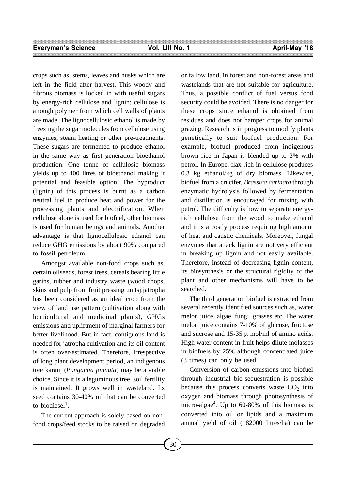crops such as, stems, leaves and husks which are left in the field after harvest. This woody and fibrous biomass is locked in with useful sugars by energy-rich cellulose and lignin; cellulose is a tough polymer from which cell walls of plants are made. The lignocellulosic ethanol is made by freezing the sugar molecules from cellulose using enzymes, steam heating or other pre-treatments. These sugars are fermented to produce ethanol in the same way as first generation bioethanol production. One tonne of cellulosic biomass yields up to 400 litres of bioethanol making it potential and feasible option. The byproduct (lignin) of this process is burnt as a carbon neutral fuel to produce heat and power for the processing plants and electrification. When cellulose alone is used for biofuel, other biomass is used for human beings and animals. Another advantage is that lignocellulosic ethanol can reduce GHG emissions by about 90% compared to fossil petroleum.

Amongst available non-food crops such as, certain oilseeds, forest trees, cereals bearing little garins, rubber and industry waste (wood chops, skins and pulp from fruit pressing unitsj.jatropha has been considered as an ideal crop from the view of land use pattern (cultivation along with horticultural and medicinal plants), GHGs emissions and upliftment of marginal farmers for better livelihood. But in fact, contiguous land is needed for jatropha cultivation and its oil content is often over-estimated. Therefore, irrespective of long plant development period, an indigenous tree karanj (*Pongamia pinnata*) may be a viable choice. Since it is a leguminous tree, soil fertility is maintained. It grows well in wasteland. Its seed contains 30-40% oil that can be converted to biodiesel<sup>1</sup>.

The current approach is solely based on nonfood crops/feed stocks to be raised on degraded or fallow land, in forest and non-forest areas and wastelands that are not suitable for agriculture. Thus, a possible conflict of fuel versus food security could be avoided. There is no danger for these crops since ethanol is obtained from residues and does not hamper crops for animal grazing. Research is in progress to modify plants genetically to suit biofuel production. For example, biofuel produced from indigenous brown rice in Japan is blended up to 3% with petrol. In Europe, flax rich in cellulose produces 0.3 kg ethanol/kg of dry biomass. Likewise, biofuel from a crucifer, *Brassica carinata* through enzymatic hydrolysis followed by fermentation and distillation is encouraged for mixing with petrol. The difficulty is how to separate energyrich cellulose from the wood to make ethanol and it is a costly process requiring high amount of heat and caustic chemicals. Moreover, fungal enzymes that attack lignin are not very efficient in breaking up lignin and not easily available. Therefore, instead of decreasing lignin content, its biosynthesis or the structural rigidity of the plant and other mechanisms will have to be searched.

The third generation biofuel is extracted from several recently identified sources such as, water melon juice, algae, fungi, grasses etc. The water melon juice contains 7-10% of glucose, fructose and sucrose and 15-35  $\mu$  mol/ml of amino acids. High water content in fruit helps dilute molasses in biofuels by 25% although concentrated juice (3 times) can only be used.

Conversion of carbon emissions into biofuel through industrial bio-sequestration is possible because this process converts waste  $CO<sub>2</sub>$  into oxygen and biomass through photosynthesis of micro-algae<sup>4</sup>. Up to 60-80% of this biomass is converted into oil or lipids and a maximum annual yield of oil (182000 litres/ha) can be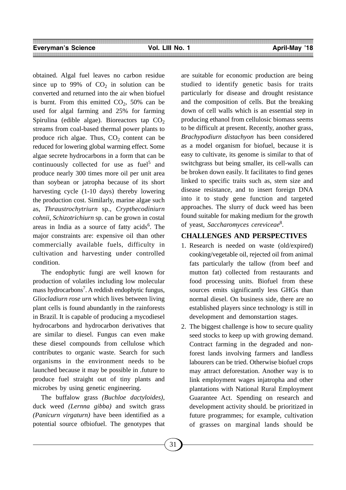obtained. Algal fuel leaves no carbon residue since up to 99% of  $CO<sub>2</sub>$  in solution can be converted and returned into the air when biofuel is burnt. From this emitted  $CO<sub>2</sub>$ , 50% can be used for algal farming and 25% for farming Spirulina (edible algae). Bioreactors tap  $CO<sub>2</sub>$ streams from coal-based thermal power plants to produce rich algae. Thus,  $CO<sub>2</sub>$  content can be reduced for lowering global warming effect. Some algae secrete hydrocarbons in a form that can be continuously collected for use as fuel<sup>5</sup> and produce nearly 300 times more oil per unit area than soybean or jatropha because of its short harvesting cycle (1-10 days) thereby lowering the production cost. Similarly, marine algae such as, *Thraustrochytriurn* sp., *Crypthecodiniurn cohnii, Schizotrichiurn* sp. can be grown in costal areas in India as a source of fatty acids<sup>6</sup>. The major constraints are: expensive oil than other commercially available fuels, difficulty in cultivation and harvesting under controlled condition.

The endophytic fungi are well known for production of volatiles including low molecular mass hydrocarbons<sup>7</sup>. A reddish endophytic fungus, *Gliocladiurn rose urn* which lives between living plant cells is found abundantly in the rainforests in Brazil. It is capable of producing a mycodiesel hydrocarbons and hydrocarbon derivatives that are similar to diesel. Fungus can even make these diesel compounds from cellulose which contributes to organic waste. Search for such organisms in the environment needs to be launched because it may be possible in .future to produce fuel straight out of tiny plants and microbes by using genetic engineering.

The buffalow grass *(Buchloe dactyloides),* duck weed *(Lernna gibba)* and switch grass *(Panicurn virgaturn)* have been identified as a potential source ofbiofuel. The genotypes that are suitable for economic production are being studied to identify genetic basis for traits particularly for disease and drought resistance and the composition of cells. But the breaking down of cell walls which is an essential step in producing ethanol from cellulosic biomass seems to be difficult at present. Recently, another grass, *Brachypodiurn distachyon* has been considered as a model organism for biofuel, because it is easy to cultivate, its genome is similar to that of switchgrass but being smaller, its cell-walls can be broken down easily. It facilitates to find genes linked to specific traits such as, stem size and disease resistance, and to insert foreign DNA into it to study gene function and targeted approaches. The slurry of duck weed has been found suitable for making medium for the growth of yeast, *Saccharomyces cereviceae*<sup>8</sup> .

## **CHALLENGES AND PERSPECTIVES**

- 1. Research is needed on waste (old/expired) cooking/vegetable oil, rejected oil from animal fats particularly the tallow (from beef and mutton fat) collected from restaurants and food processing units. Biofuel from these sources emits significantly less GHGs than normal diesel. On business side, there are no established players since technology is still in development and demonstartion stages.
- 2. The biggest challenge is how to secure quality seed stocks to keep up with growing demand. Contract farming in the degraded and nonforest lands involving farmers and landless labourers can be tried. Otherwise biofuel crops may attract deforestation. Another way is to link employment wages injatropha and other plantations with National Rural Employment Guarantee Act. Spending on research and development activity should. be prioritized in future programmes; for example, cultivation of grasses on marginal lands should be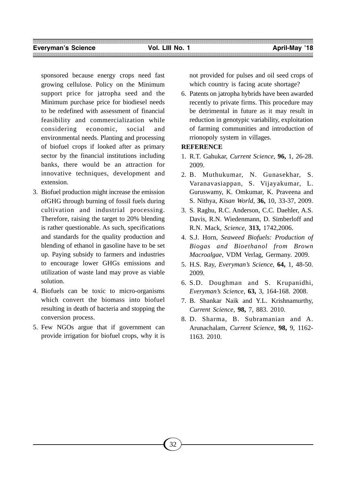sponsored because energy crops need fast growing cellulose. Policy on the Minimum support price for jatropha seed and the Minimum purchase price for biodiesel needs to be redefined with assessment of financial feasibility and commercialization while considering economic, social and environmental needs. Planting and processing of biofuel crops if looked after as primary sector by the financial institutions including banks, there would be an attraction for innovative techniques, development and extension.

- 3. Biofuel production might increase the emission ofGHG through burning of fossil fuels during cultivation and industrial processing. Therefore, raising the target to 20% blending is rather questionable. As such, specifications and standards for the quality production and blending of ethanol in gasoline have to be set up. Paying subsidy to farmers and industries to encourage lower GHGs emissions and utilization of waste land may prove as viable solution.
- 4. Biofuels can be toxic to micro-organisms which convert the biomass into biofuel resulting in death of bacteria and stopping the conversion process.
- 5. Few NGOs argue that if government can provide irrigation for biofuel crops, why it is

not provided for pulses and oil seed crops of which country is facing acute shortage?

6. Patents on jatropha hybrids have been awarded recently to private firms. This procedure may be detrimental in future as it may result in reduction in genotypic variability, exploitation of farming communities and introduction of rrionopoly system in villages.

## **REFERENCE**

- 1. R.T. Gahukar, *Current Science,* **96,** 1, 26-28. 2009.
- 2. B. Muthukumar, N. Gunasekhar, S. Varanavasiappan, S. Vijayakumar, L. Guruswamy, K. Omkumar, K. Praveena and S. Nithya, *Kisan World,* **36,** 10, 33-37, 2009.
- 3. S. Raghu, R.C. Anderson, C.C. Daehler, A.S. Davis, R.N. Wiedenmann, D. Simberloff and R.N. Mack, *Science,* **313,** 1742,2006.
- 4. S.J. Horn, *Seaweed Biofuels: Production of Biogas and Bioethanol from Brown Macroalgae,* VDM Verlag, Germany. 2009.
- 5. H.S. Ray, *Everyman's Science,* **64,** 1, 48-50. 2009.
- 6. S.D. Doughman and S. Krupanidhi, *Everyman's Science,* **63,** 3, 164-168. 2008.
- 7. B. Shankar Naik and Y.L. Krishnamurthy, *Current Science,* **98,** 7, 883. 2010.
- 8. D. Sharma, B. Subramanian and A. Arunachalam, *Current Science,* **98,** 9, 1162- 1163. 2010.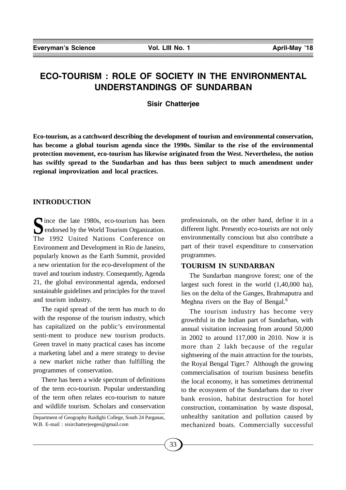# **ECO-TOURISM : ROLE OF SOCIETY IN THE ENVIRONMENTAL UNDERSTANDINGS OF SUNDARBAN**

**Sisir Chatterjee**

**Eco-tourism, as a catchword describing the development of tourism and environmental conservation, has become a global tourism agenda since the 1990s. Similar to the rise of the environmental protection movement, eco-tourism has likewise originated from the West. Nevertheless, the notion has swiftly spread to the Sundarban and has thus been subject to much amendment under regional improvization and local practices.**

# **INTRODUCTION**

Since the late 1980s, eco-tourism has been<br>endorsed by the World Tourism Organization. The 1992 United Nations Conference on Environment and Development in Rio de Janeiro, popularly known as the Earth Summit, provided a new orientation for the eco-development of the travel and tourism industry. Consequently, Agenda 21, the global environmental agenda, endorsed sustainable guidelines and principles for the travel and tourism industry.

The rapid spread of the term has much to do with the response of the tourism industry, which has capitalized on the public's environmental senti-ment to produce new tourism products. Green travel in many practical cases has income a marketing label and a mere strategy to devise a new market niche rather than fulfilling the programmes of conservation.

There has been a wide spectrum of definitions of the term eco-tourism. Popular understanding of the term often relates eco-tourism to nature and wildlife tourism. Scholars and conservation professionals, on the other hand, define it in a different light. Presently eco-tourists are not only environmentally conscious but also contribute a part of their travel expenditure to conservation programmes.

#### **TOURISM IN SUNDARBAN**

The Sundarban mangrove forest; one of the largest such forest in the world (1,40,000 ha), lies on the delta of the Ganges, Brahmaputra and Meghna rivers on the Bay of Bengal.<sup>6</sup>

The tourism industry has become very growthful in the Indian part of Sundarban, with annual visitation increasing from around 50,000 in 2002 to around 117,000 in 2010. Now it is more than 2 lakh because of the regular sightseeing of the main attraction for the tourists, the Royal Bengal Tiger.7 Although the growing commercialisation of tourism business benefits the local economy, it has sometimes detrimental to the ecosystem of the Sundarbans due to river bank erosion, habitat destruction for hotel construction, contamination by waste disposal, unhealthy sanitation and pollution caused by mechanized boats. Commercially successful

Department of Geography Raidighi College, South 24 Parganas, W.B. E-mail : sisirchatterjeegeo@gmail.com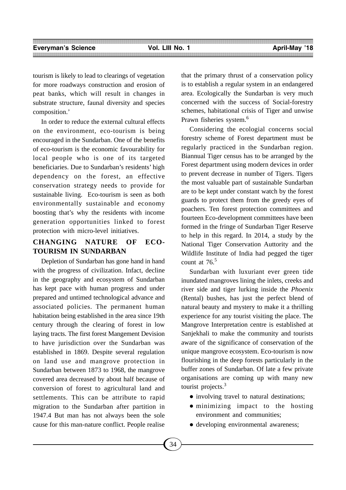tourism is likely to lead to clearings of vegetation for more roadways construction and erosion of peat banks, which will result in changes in substrate structure, faunal diversity and species composition.'

In order to reduce the external cultural effects on the environment, eco-tourism is being encouraged in the Sundarban. One of the benefits of eco-tourism is the economic favourability for local people who is one of its targeted beneficiaries. Due to Sundarban's residents' high dependency on the forest, an effective conservation strategy needs to provide for sustainable living. Eco-tourism is seen as both environmentally sustainable and economy boosting that's why the residents with income generation opportunities linked to forest protection with micro-level initiatives.

# **CHANGING NATURE OF ECO-TOURISM IN SUNDARBAN**

Depletion of Sundarban has gone hand in hand with the progress of civilization. Infact, decline in the geography and ecosystem of Sundarban has kept pace with human progress and under prepared and untimed technological advance and associated policies. The permanent human habitation being established in the area since 19th century through the clearing of forest in low laying tracts. The first forest Mangement Devision to have jurisdiction over the Sundarban was established in 1869. Despite several regulation on land use and mangrove protection in Sundarban between 1873 to 1968, the mangrove covered area decreased by about half because of conversion of forest to agricultural land and settlements. This can be attribute to rapid migration to the Sundarban after partition in 1947.4 But man has not always been the sole cause for this man-nature conflict. People realise

that the primary thrust of a conservation policy is to establish a regular system in an endangered area. Ecologically the Sundarban is very much concerned with the success of Social-forestry schemes, habitational crisis of Tiger and unwise Prawn fisheries system.<sup>6</sup>

Considering the ecologial concerns social forestry scheme of Forest department must be regularly practiced in the Sundarban region. Biannual Tiger census has to be arranged by the Forest department using modern devices in order to prevent decrease in number of Tigers. Tigers the most valuable part of sustainable Sundarban are to be kept under constant watch by the forest guards to protect them from the greedy eyes of poachers. Ten forest protection committees and fourteen Eco-development committees have been formed in the fringe of Sundarban Tiger Reserve to help in this regard. In 2014, a study by the National Tiger Conservation Auttority and the Wildlife Institute of India had pegged the tiger count at  $76<sup>5</sup>$ 

Sundarban with luxuriant ever green tide inundated mangroves lining the inlets, creeks and river side and tiger lurking inside the *Phoenix* (Rental) bushes, has just the perfect blend of natural beauty and mystery to make it a thrilling experience for any tourist visiting the place. The Mangrove Interpretation centre is established at Sanjekhali to make the community and tourists aware of the significance of conservation of the unique mangrove ecosystem. Eco-tourism is now flourishing in the deep forests particularly in the buffer zones of Sundarban. Of late a few private organisations are coming up with many new tourist projects.<sup>3</sup>

- involving travel to natural destinations;
- minimizing impact to the hosting environment and communities;
- developing environmental awareness;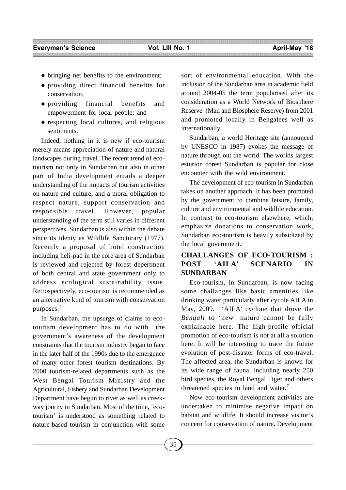- bringing net benefits to the environment;
- providing direct financial benefits for conservation;
- providing financial benefits and empowerment for local people; and
- respecting local cultures, and religious sentiments.

Indeed, nothing in it is new if eco-tourism merely means appreciation of nature and natural landscapes during travel. The recent trend of ecotourism not only in Sundarban but also in other part of India development entails a deeper understanding of the impacts of tourism activities on nature and culture, and a moral obligation to respect nature, support conservation and responsible travel. However, popular understanding of the term still varies in different perspectives. Sundarban is also within the debate since its identy as Wildlife Sancturary (1977). Recently a proposal of hotel construction including heli-pad in the core area of Sundarban is reviewed and rejected by forest depertment of both central and state government only to address ecological sustainability issue. Retrospectively, eco-tourism is recommended as an alternative kind of tourism with conservation purposes.<sup>1</sup>

In Sundarban, the upsurge of claims to ecotourism development has to do with the government's awareness of the development constraints that the tourism industry began to face in the later half of the 1990s due to the emergence of many other forest tourism destinations. By 2000 tourism-related departments such as the West Bengal Tourism Ministry and the Agricultural, Fishery and Sundarban Development Department have begun to river as well as creekway journy in Sundarban. Most of the time, 'ecotourism' is understood as something related to nature-based tourism in conjunction with some sort of environmental education. With the inclusion of the Sundarban area in academic field around 2004-05 the term popularised after its consideration as a World Network of Biosphere Reserve (Man and Biosphere Reserve) from 2001 and promoted locally in Bengalees well as internationally.

Sundarban, a world Heritage site (announced by UNESCO in 1987) evokes the message of nature through out the world. The worlds largest esturion forest Sundarban is popular for close encounter with the wild environment.

The development of eco-tourism in Sundarban takes on another approach. It has been promoted by the government to combine leisure, family, culture and environmental and wildlile education. In contrast to eco-tourism elsewhere, which, emphasize donations to conservation work, Sundarban eco-tourism is heavily subsidized by the local government.

# **CHALLANGES OF ECO-TOURISM : POST 'AILA' SCENARIO IN SUNDARBAN**

Eco-tourism, in Sundarban, is now facing some challanges like basic amenities like drinking water particularly after cycole AILA in May, 2009. 'AILA' cyclone that drove the *Bengali* to 'new' nature cannot be fully explainable here. The high-profile official promotion of eco-tourism is not at all a solution here. It will be interesting to trace the future evolution of post-disaster forms of eco-travel. The affected area, the Sundarban is known for its wide range of fauna, including nearly 250 bird species, the Royal Bengal Tiger and others threatened species in land and water.<sup>7</sup>

Now eco-tourism development activities are undertaken to minimise negative impact on habitat and wildlife. It should increase visitor's concern for conservation of nature. Development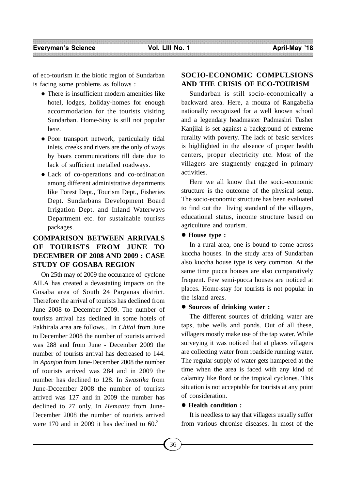of eco-tourism in the biotic region of Sundarban is facing some problems as follows :

- There is insufficient modern amenities like hotel, lodges, holiday-homes for enough accommodation for the tourists visiting Sundarban. Home-Stay is still not popular here.
- Poor transport network, particularly tidal inlets, creeks and rivers are the only of ways by boats communications till date due to lack of sufficient metalled roadways.
- Lack of co-operations and co-ordination among different administrative departments like Forest Dept., Tourism Dept., Fisheries Dept. Sundarbans Development Board Irrigation Dept. and Inland Waterways Department etc. for sustainable tourists packages.

# **COMPARISON BETWEEN ARRIVALS OF TOURISTS FROM JUNE TO DECEMBER OF 2008 AND 2009 : CASE STUDY OF GOSABA REGION**

On 25th may of 2009 the occurance of cyclone AILA has created a devastating impacts on the Gosaba area of South 24 Parganas district. Therefore the arrival of tourists has declined from June 2008 to December 2009. The number of tourists arrival has declined in some hotels of Pakhirala area are follows... In *Chital* from June to December 2008 the number of tourists arrived was 288 and from June - December 2009 the number of tourists arrival has decreased to 144. In *Apanjon* from June-December 2008 the number of tourists arrived was 284 and in 2009 the number has declined to 128. In *Swastika* from June-Dccember 2008 the number of tourists arrived was 127 and in 2009 the number has declined to 27 only. In *Hemanta* from June-December 2008 the number of tourists arrived were 170 and in 2009 it has declined to  $60<sup>3</sup>$ 

# **SOCIO-ECONOMIC COMPULSIONS AND THE CRISIS OF ECO-TOURISM**

Sundarban is still socio-economically a backward area. Here, a mouza of Rangabelia nationally recognized for a well known school and a legendary headmaster Padmashri Tusher Kanjilal is set against a background of extreme rurality with poverty. The lack of basic services is highlighted in the absence of proper health centers, proper electricity etc. Most of the villagers are stagnently engaged in primary activities.

Here we all know that the socio-economic structure is the outcome of the physical setup. The socio-economic structure has been evaluated to find out the living standard of the villagers, educational status, income structure based on agriculture and tourism.

## **House type :**

In a rural area, one is bound to come across kuccha houses. In the study area of Sundarban also kuccha house type is very common. At the same time pucca houses are also comparatively frequent. Few semi-pucca houses are noticed at places. Home-stay for tourists is not popular in the island areas.

#### **Sources of drinking water :**

The different sources of drinking water are taps, tube wells and ponds. Out of all these, villagers mostly make use of the tap water. While surveying it was noticed that at places villagers are collecting water from roadside running water. The regular supply of water gets hampered at the time when the area is faced with any kind of calamity like flord or the tropical cyclones. This situation is not acceptable for tourists at any point of consideration.

#### **Health condition :**

It is needless to say that villagers usually suffer from various chronise diseases. In most of the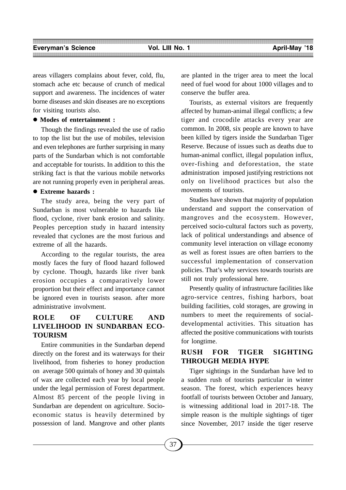areas villagers complains about fever, cold, flu, stomach ache etc because of crunch of medical support and awareness. The incidences of water borne diseases and skin diseases are no exceptions for visiting tourists also.

## **Modes of entertainment :**

Though the findings revealed the use of radio to top the list but the use of mobiles, television and even telephones are further surprising in many parts of the Sundarban which is not comfortable and acceptable for tourists. In addition to this the striking fact is that the various mobile networks are not running properly even in peripheral areas.

## **Extreme hazards :**

The study area, being the very part of Sundarban is most vulnerable to hazards like flood, cyclone, river bank erosion and salinity. Peoples perception study in hazard intensity revealed that cyclones are the most furious and extreme of all the hazards.

According to the regular tourists, the area mostly faces the fury of flood hazard followed by cyclone. Though, hazards like river bank erosion occupies a comparatively lower proportion but their effect and importance cannot be ignored even in tourists season. after more administrative involvment.

# **ROLE OF CULTURE AND LIVELIHOOD IN SUNDARBAN ECO-TOURISM**

Entire communities in the Sundarban depend directly on the forest and its waterways for their livelihood, from fisheries to honey production on average 500 quintals of honey and 30 quintals of wax are collected each year by local people under the legal permission of Forest department. Almost 85 percent of the people living in Sundarban are dependent on agriculture. Socioeconomic status is heavily determined by possession of land. Mangrove and other plants

are planted in the triger area to meet the local need of fuel wood for about 1000 villages and to conserve the buffer area.

Tourists, as external visitors are frequently affected by human-animal illegal conflicts; a few tiger and crocodile attacks every year are common. In 2008, six people are known to have been killed by tigers inside the Sundarban Tiger Reserve. Because of issues such as deaths due to human-animal conflict, illegal population influx, over-fishing and deforestation, the state administration imposed justifying restrictions not only on livelihood practices but also the movements of tourists.

Studies have shown that majority of population understand and support the conservation of mangroves and the ecosystem. However, perceived socio-cultural factors such as poverty, lack of political understandings and absence of community level interaction on village economy as well as forest issues are often barriers to the successful implementation of conservation policies. That's why services towards tourists are still not truly professional here.

Presently quality of infrastructure facilities like agro-service centres, fishing harbors, boat building facilities, cold storages, are growing in numbers to meet the requirements of socialdevelopmental activities. This situation has affected the positive communications with tourists for longtime.

# **RUSH FOR TIGER SIGHTING THROUGH MEDIA HYPE**

Tiger sightings in the Sundarban have led to a sudden rush of tourists particular in winter season. The forest, which experiences heavy footfall of tourists between October and January, is witnessing additional load in 2017-18. The simple reason is the multiple sightings of tiger since November, 2017 inside the tiger reserve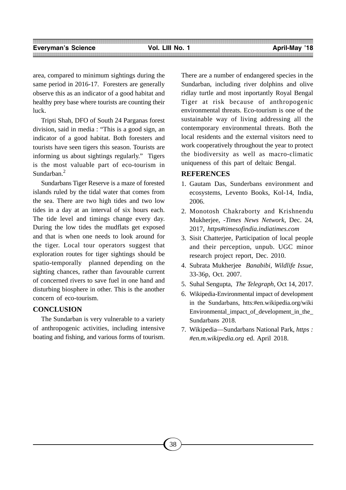area, compared to minimum sightings during the same period in 2016-17. Foresters are generally observe this as an indicator of a good habitat and healthy prey base where tourists are counting their luck.

Tripti Shah, DFO of South 24 Parganas forest division, said in media : "This is a good sign, an indicator of a good habitat. Both foresters and tourists have seen tigers this season. Tourists are informing us about sightings regularly." Tigers is the most valuable part of eco-tourism in Sundarban<sup>2</sup>

Sundarbans Tiger Reserve is a maze of forested islands ruled by the tidal water that comes from the sea. There are two high tides and two low tides in a day at an interval of six hours each. The tide level and timings change every day. During the low tides the mudflats get exposed and that is when one needs to look around for the tiger. Local tour operators suggest that exploration routes for tiger sightings should be spatio-temporally planned depending on the sighting chances, rather than favourable current of concerned rivers to save fuel in one hand and disturbing biosphere in other. This is the another concern of eco-tourism.

# **CONCLUSION**

The Sundarban is very vulnerable to a variety of anthropogenic activities, including intensive boating and fishing, and various forms of tourism. There are a number of endangered species in the Sundarban, including river dolphins and olive ridlay turtle and most inportantly Royal Bengal Tiger at risk because of anthropogenic environmental threats. Eco-tourism is one of the sustainable way of living addressing all the contemporary environmental threats. Both the local residents and the external visitors need to work cooperatively throughout the year to protect the biodiversity as well as macro-climatic uniqueness of this part of deltaic Bengal.

## **REFERENCES**

- 1. Gautam Das, Sunderbans environment and ecosystems, Levento Books, Kol-14, India, 2006.
- 2. Monotosh Chakraborty and Krishnendu Mukherjee, -*Times News Network*, Dec. 24, 2017, *https#timesofindia.indiatimes.com*
- 3. Sisit Chatterjee, Participation of local people and their perception, unpub. UGC minor research project report, Dec. 2010.
- 4. Subrata Mukherjee *Banabibi, Wildlife Issue*, 33-36p, Oct. 2007.
- 5. Suhal Sengupta, *The Telegraph,* Oct 14, 2017.
- 6. Wikipedia-Environmental impact of development in the Sundarbans, htts:#en.wikipedia.org/wiki Environmental\_impact\_of\_development\_in\_the\_ Sundarbans 2018.
- 7. Wikipedia—Sundarbans National Park, *https : #en.m.wikipedia.org* ed. April 2018.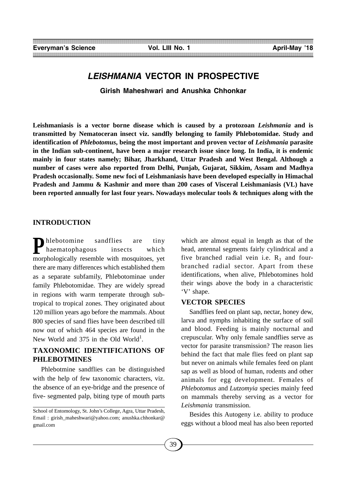# *LEISHMANIA* **VECTOR IN PROSPECTIVE**

**Girish Maheshwari and Anushka Chhonkar**

**Leishmaniasis is a vector borne disease which is caused by a protozoan** *Leishmania* **and is transmitted by Nematoceran insect viz. sandfly belonging to family Phlebotomidae. Study and identification of** *Phlebotomus***, being the most important and proven vector of** *Leishmania* **parasite in the Indian sub-continent, have been a major research issue since long. In India, it is endemic mainly in four states namely; Bihar, Jharkhand, Uttar Pradesh and West Bengal. Although a number of cases were also reported from Delhi, Punjab, Gujarat, Sikkim, Assam and Madhya Pradesh occasionally. Some new foci of Leishmaniasis have been developed especially in Himachal Pradesh and Jammu & Kashmir and more than 200 cases of Visceral Leishmaniasis (VL) have been reported annually for last four years. Nowadays molecular tools & techniques along with the**

#### **INTRODUCTION**

**P**hlebotomine sandflies are tiny<br>haematophagous insects which<br>morphologically resemble with mosquitoes, yet haematophagous insects which there are many differences which established them as a separate subfamily, Phlebotominae under family Phlebotomidae. They are widely spread in regions with warm temperate through subtropical to tropical zones. They originated about 120 million years ago before the mammals. About 800 species of sand flies have been described till now out of which 464 species are found in the New World and  $375$  in the Old World<sup>1</sup>.

# **TAXONOMIC IDENTIFICATIONS OF PHLEBOTMINES**

Phlebotmine sandflies can be distinguished with the help of few taxonomic characters, viz. the absence of an eye-bridge and the presence of five- segmented palp, biting type of mouth parts

which are almost equal in length as that of the head, antennal segments fairly cylindrical and a five branched radial vein i.e.  $R_1$  and fourbranched radial sector. Apart from these identifications, when alive, Phlebotomines hold their wings above the body in a characteristic 'V' shape.

#### **VECTOR SPECIES**

Sandflies feed on plant sap, nectar, honey dew, larva and nymphs inhabiting the surface of soil and blood. Feeding is mainly nocturnal and crepuscular. Why only female sandflies serve as vector for parasite transmission? The reason lies behind the fact that male flies feed on plant sap but never on animals while females feed on plant sap as well as blood of human, rodents and other animals for egg development. Females of *Phlebotomus* and *Lutzomyia* species mainly feed on mammals thereby serving as a vector for *Leishmania* transmission.

Besides this Autogeny i.e. ability to produce eggs without a blood meal has also been reported

School of Entomology, St. John's College, Agra, Uttar Pradesh, Email: girish\_maheshwari@yahoo.com; anushka.chhonkar@ gmail.com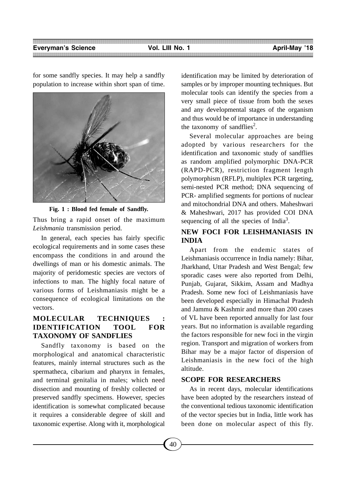for some sandfly species. It may help a sandfly population to increase within short span of time.



**Fig. 1 : Blood fed female of Sandfly.**

Thus bring a rapid onset of the maximum *Leishmania* transmission period.

In general, each species has fairly specific ecological requirements and in some cases these encompass the conditions in and around the dwellings of man or his domestic animals. The majority of peridomestic species are vectors of infections to man. The highly focal nature of various forms of Leishmaniasis might be a consequence of ecological limitations on the vectors.

# **MOLECULAR TECHNIQUES : IDENTIFICATION TOOL FOR TAXONOMY OF SANDFLIES**

Sandfly taxonomy is based on the morphological and anatomical characteristic features, mainly internal structures such as the spermatheca, cibarium and pharynx in females, and terminal genitalia in males; which need dissection and mounting of freshly collected or preserved sandfly specimens. However, species identification is somewhat complicated because it requires a considerable degree of skill and taxonomic expertise. Along with it, morphological identification may be limited by deterioration of samples or by improper mounting techniques. But molecular tools can identify the species from a very small piece of tissue from both the sexes and any developmental stages of the organism and thus would be of importance in understanding the taxonomy of sandflies<sup>2</sup>.

Several molecular approaches are being adopted by various researchers for the identification and taxonomic study of sandflies as random amplified polymorphic DNA-PCR (RAPD-PCR), restriction fragment length polymorphism (RFLP), multiplex PCR targeting, semi-nested PCR method; DNA sequencing of PCR- amplified segments for portions of nuclear and mitochondrial DNA and others. Maheshwari & Maheshwari, 2017 has provided COI DNA sequencing of all the species of India<sup>3</sup>.

# **NEW FOCI FOR LEISHMANIASIS IN INDIA**

Apart from the endemic states of Leishmaniasis occurrence in India namely: Bihar, Jharkhand, Uttar Pradesh and West Bengal; few sporadic cases were also reported from Delhi, Punjab, Gujarat, Sikkim, Assam and Madhya Pradesh. Some new foci of Leishmaniasis have been developed especially in Himachal Pradesh and Jammu & Kashmir and more than 200 cases of VL have been reported annually for last four years. But no information is available regarding the factors responsible for new foci in the virgin region. Transport and migration of workers from Bihar may be a major factor of dispersion of Leishmaniasis in the new foci of the high altitude.

## **SCOPE FOR RESEARCHERS**

As in recent days, molecular identifications have been adopted by the researchers instead of the conventional tedious taxonomic identification of the vector species but in India, little work has been done on molecular aspect of this fly.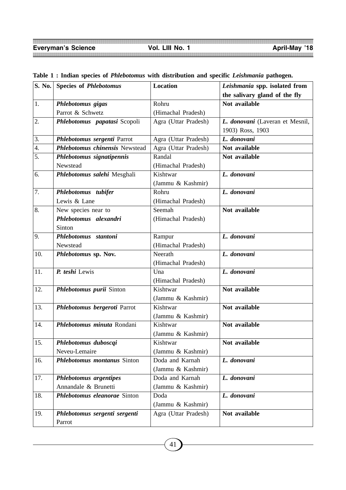| S. No.           | <b>Species of Phlebotomus</b>      | Location             | Leishmania spp. isolated from   |
|------------------|------------------------------------|----------------------|---------------------------------|
|                  |                                    |                      | the salivary gland of the fly   |
| 1.               | Phlebotomus gigas                  | Rohru                | Not available                   |
|                  | Parrot & Schwetz                   | (Himachal Pradesh)   |                                 |
| 2.               | Phlebotomus papatasi Scopoli       | Agra (Uttar Pradesh) | L. donovani (Laveran et Mesnil, |
|                  |                                    |                      | 1903) Ross, 1903                |
| 3.               | Phlebotomus sergenti Parrot        | Agra (Uttar Pradesh) | L. donovani                     |
| $\overline{4}$ . | Phlebotomus chinensis Newstead     | Agra (Uttar Pradesh) | Not available                   |
| 5.               | Phlebotomus signatipennis          | Randal               | Not available                   |
|                  | Newstead                           | (Himachal Pradesh)   |                                 |
| 6.               | Phlebotomus salehi Mesghali        | Kishtwar             | L. donovani                     |
|                  |                                    | (Jammu & Kashmir)    |                                 |
| 7.               | Phlebotomus tubifer                | Rohru                | L. donovani                     |
|                  | Lewis & Lane                       | (Himachal Pradesh)   |                                 |
| 8.               | New species near to                | Seemah               | Not available                   |
|                  | Phlebotomus alexandri              | (Himachal Pradesh)   |                                 |
|                  | Sinton                             |                      |                                 |
| 9.               | Phlebotomus stantoni               | Rampur               | L. donovani                     |
|                  | Newstead                           | (Himachal Pradesh)   |                                 |
| 10.              | Phlebotomus sp. Nov.               | Neerath              | L. donovani                     |
|                  |                                    | (Himachal Pradesh)   |                                 |
| 11.              | P. teshi Lewis                     | Una                  | L. donovani                     |
|                  |                                    | (Himachal Pradesh)   |                                 |
| 12.              | Phlebotomus purii Sinton           | Kishtwar             | Not available                   |
|                  |                                    | (Jammu & Kashmir)    |                                 |
| 13.              | Phlebotomus bergeroti Parrot       | Kishtwar             | Not available                   |
|                  |                                    | (Jammu & Kashmir)    |                                 |
| 14.              | Phlebotomus minuta Rondani         | Kishtwar             | Not available                   |
|                  |                                    | (Jammu & Kashmir)    |                                 |
| 15.              | Phlebotomus duboscqi               | Kishtwar             | Not available                   |
|                  | Neveu-Lemaire                      | (Jammu & Kashmir)    |                                 |
| 16.              | <b>Phlebotomus montanus Sinton</b> | Doda and Karnah      | L. donovani                     |
|                  |                                    | (Jammu & Kashmir)    |                                 |
| 17.              | Phlebotomus argentipes             | Doda and Karnah      | L. donovani                     |
|                  | Annandale & Brunetti               | (Jammu & Kashmir)    |                                 |
| 18.              | Phlebotomus eleanorae Sinton       | Doda                 | L. donovani                     |
|                  |                                    | (Jammu & Kashmir)    |                                 |
| 19.              | Phlebotomus sergenti sergenti      | Agra (Uttar Pradesh) | Not available                   |
|                  | Parrot                             |                      |                                 |

# **Table 1 : Indian species of** *Phlebotomus* **with distribution and specific** *Leishmania* **pathogen.**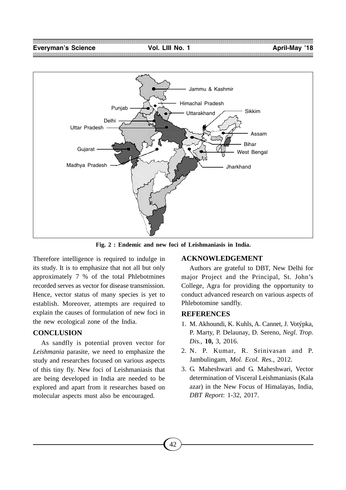

**Fig. 2 : Endemic and new foci of Leishmaniasis in India.**

Therefore intelligence is required to indulge in its study. It is to emphasize that not all but only approximately 7 % of the total Phlebotmines recorded serves as vector for disease transmission. Hence, vector status of many species is yet to establish. Moreover, attempts are required to explain the causes of formulation of new foci in the new ecological zone of the India.

#### **CONCLUSION**

As sandfly is potential proven vector for *Leishmania* parasite, we need to emphasize the study and researches focused on various aspects of this tiny fly. New foci of Leishmaniasis that are being developed in India are needed to be explored and apart from it researches based on molecular aspects must also be encouraged.

#### **ACKNOWLEDGEMENT**

Authors are grateful to DBT, New Delhi for major Project and the Principal, St. John's College, Agra for providing the opportunity to conduct advanced research on various aspects of Phlebotomine sandfly.

#### **REFERENCES**

- 1. M. Akhoundi, K. Kuhls, A. Cannet, J. Votýpka, P. Marty, P. Delaunay, D. Sereno, *Negl. Trop. Dis.,* **10,** 3, 2016.
- 2. N. P. Kumar, R. Srinivasan and P. Jambulingam, *Mol. Ecol. Res.,* 2012.
- 3. G. Maheshwari and G. Maheshwari, Vector determination of Visceral Leishmaniasis (Kala azar) in the New Focus of Himalayas, India, *DBT Report*: 1-32, 2017.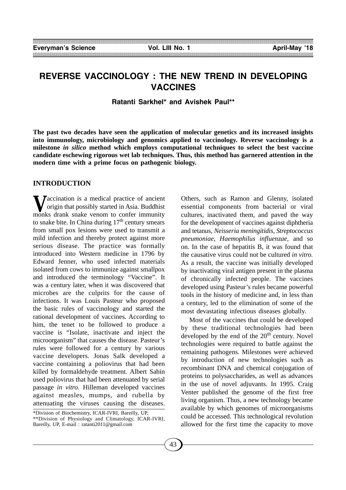# **REVERSE VACCINOLOGY : THE NEW TREND IN DEVELOPING VACCINES**

**Ratanti Sarkhel\* and Avishek Paul\*\***

**The past two decades have seen the application of molecular genetics and its increased insights into immunology, microbiology and genomics applied to vaccinology. Reverse vaccinology is a milestone** *in silico* **method which employs computational techniques to select the best vaccine candidate eschewing rigorous wet lab techniques. Thus, this method has garnered attention in the modern time with a prime focus on pathogenic biology.**

#### **INTRODUCTION**

**V**accination is a medical practice of ancient<br>origin that possibly started in Asia. Buddhist<br>monks drank snake venom to confer immunity origin that possibly started in Asia. Buddhist monks drank snake venom to confer immunity to snake bite. In China during  $17<sup>th</sup>$  century smears from small pox lesions were used to transmit a mild infection and thereby protect against more serious disease. The practice was formally introduced into Western medicine in 1796 by Edward Jenner, who used infected materials isolated from cows to immunize against smallpox and introduced the terminology "Vaccine". It was a century later, when it was discovered that microbes are the culprits for the cause of infections. It was Louis Pasteur who proposed the basic rules of vaccinology and started the rational development of vaccines. According to him, the tenet to be followed to produce a vaccine is "Isolate, inactivate and inject the microorganism" that causes the disease. Pasteur's rules were followed for a century by various vaccine developers. Jonas Salk developed a vaccine containing a poliovirus that had been killed by formaldehyde treatment. Albert Sabin used poliovirus that had been attenuated by serial passage *in vitro.* Hilleman developed vaccines against measles, mumps, and rubella by attenuating the viruses causing the diseases.

Others, such as Ramon and Glenny, isolated essential components from bacterial or viral cultures, inactivated them, and paved the way for the development of vaccines against diphtheria and tetanus, *Neisseria meningitidis, Streptococcus pneumoniae, Haemophilus influenzae,* and so on. In the case of hepatitis B, it was found that the causative virus could not be cultured *in vitro.* As a result, the vaccine was initially developed by inactivating viral antigen present in the plasma of chronically infected people. The vaccines developed using Pasteur's rules became powerful tools in the history of medicine and, in less than a century, led to the elimination of some of the most devastating infectious diseases globally.

Most of the vaccines that could be developed by these traditional technologies had been developed by the end of the  $20<sup>th</sup>$  century. Novel technologies were required to battle against the remaining pathogens. Milestones were achieved by introduction of new technologies such as recombinant DNA and chemical conjugation of proteins to polysaccharides, as well as advances in the use of novel adjuvants. In 1995. Craig Venter published the genome of the first free living organism. Thus, a new technology became available by which genomes of microorganisms could be accessed. This technological revolution allowed for the first time the capacity to move

<sup>\*</sup>Division of Biochemistry, ICAR-IVRI, Bareilly, UP, \*\*Division of Physiology and Climatology, ICAR-IVRI, Bareilly, UP, E-mail : ratanti2011@gmail.com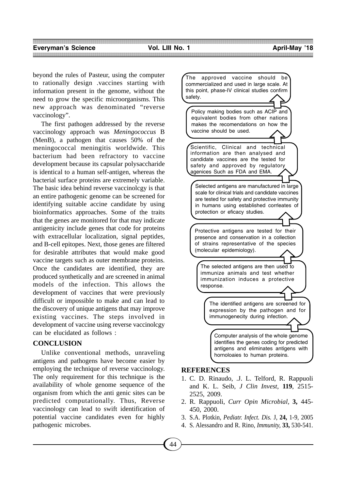beyond the rules of Pasteur, using the computer to rationally design .vaccines starting with information present in the genome, without the need to grow the specific microorganisms. This new approach was denominated "reverse vaccinology".

The first pathogen addressed by the reverse vaccinology approach was *Meningococcus* B (MenB), a pathogen that causes 50% of the meningococcal meningitis worldwide. This bacterium had been refractory to vaccine development because its capsular polysaccharide is identical to a human self-antigen, whereas the bacterial surface proteins are extremely variable. The basic idea behind reverse vaccinolcgy is that an entire pathogenic genome can be screened for identifying suitable accine candidate by using bioinformatics approaches. Some of the traits that the genes are monitored for that may indicate antigenicity include genes that code for proteins with extracellular localization, signal peptides, and B-cell epitopes. Next, those genes are filtered for desirable attributes that would make good vaccine targets such as outer membrane proteins. Once the candidates are identified, they are produced synthetically and are screened in animal models of the infection. This allows the development of vaccines that were previously difficult or impossible to make and can lead to the discovery of unique antigens that may improve existing vaccines. The steps involved in development of vaccine using reverse vaccinolcgy can be elucidated as follows :

## **CONCLUSION**

Unlike conventional methods, unraveling antigens and pathogens have become easier by employing the technique of reverse vaccinology. The only requirement for this technique is the availability of whole genome sequence of the organism from which the anti genic sites can be predicted computationally. Thus, Reverse vaccinology can lead to swift identification of potential vaccine candidates even for highly pathogenic microbes.



# **REFERENCES**

- 1. C. D. Rinaudo, .J. L. Telford, R. Rappuoli and K. L. Seib, *J Clin Invest,* **119**, 2515- 2525, 2009.
- 2. R. Rappuoli, *Curr Opin Microbial,* **3,** 445- 450, 2000.
- 3. S.A. Plotkin, *Pediatr. Infect. Dis.* J, **24,** 1-9, 2005
- 4. S. Alessandro and R. Rino, *Immunity,* **33,** 530-541.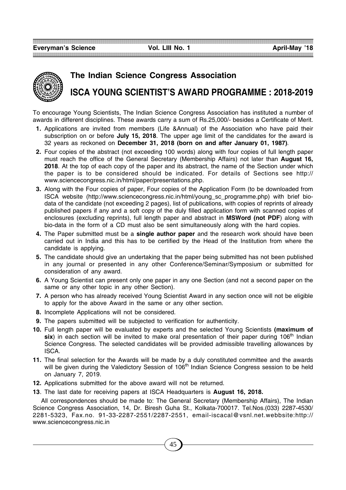**Everyman's Science Vol. LIII No. 1 April-May '18**



# **The Indian Science Congress Association ISCA YOUNG SCIENTIST'S AWARD PROGRAMME : 2018-2019**

To encourage Young Scientists, The Indian Science Congress Association has instituted a number of awards in different disciplines. These awards carry a sum of Rs.25,000/- besides a Certificate of Merit.

- **1.** Applications are invited from members (Life &Annual) of the Association who have paid their subscription on or before **July 15, 2018**. The upper age limit of the candidates for the award is 32 years as reckoned on **December 31, 2018 (born on and after January 01, 1987)**.
- **2.** Four copies of the abstract (not exceeding 100 words) along with four copies of full length paper must reach the office of the General Secretary (Membership Affairs) not later than **August 16, 2018**. At the top of each copy of the paper and its abstract, the name of the Section under which the paper is to be considered should be indicated. For details of Sections see http:// www.sciencecongress.nic.in/html/paper/presentations.php.
- **3.** Along with the Four copies of paper, Four copies of the Application Form (to be downloaded from ISCA website (http://www.sciencecongress.nic.in/html/young\_sc\_programme.php) with brief biodata of the candidate (not exceeding 2 pages), list of publications, with copies of reprints of already published papers if any and a soft copy of the duly filled application form with scanned copies of enclosures (excluding reprints), full length paper and abstract in **MSWord (not PDF**) along with bio-data in the form of a CD must also be sent simultaneously along with the hard copies.
- **4.** The Paper submitted must be a **single author paper** and the research work should have been carried out in India and this has to be certified by the Head of the Institution from where the candidate is applying.
- **5.** The candidate should give an undertaking that the paper being submitted has not been published in any journal or presented in any other Conference/Seminar/Symposium or submitted for consideration of any award.
- **6.** A Young Scientist can present only one paper in any one Section (and not a second paper on the same or any other topic in any other Section).
- **7.** A person who has already received Young Scientist Award in any section once will not be eligible to apply for the above Award in the same or any other section.
- **8.** Incomplete Applications will not be considered.
- **9.** The papers submitted will be subjected to verification for authenticity.
- **10.** Full length paper will be evaluated by experts and the selected Young Scientists **(maximum of** six) in each section will be invited to make oral presentation of their paper during 106<sup>th</sup> Indian Science Congress. The selected candidates will be provided admissible travelling allowances by ISCA.
- **11.** The final selection for the Awards will be made by a duly constituted committee and the awards will be given during the Valedictory Session of 106<sup>th</sup> Indian Science Congress session to be held on January 7, 2019.
- **12.** Applications submitted for the above award will not be returned.
- **13**. The last date for receiving papers at ISCA Headquarters is **August 16, 2018.**

All correspondences should be made to: The General Secretary (Membership Affairs), The Indian Science Congress Association, 14, Dr. Biresh Guha St., Kolkata-700017. Tel.Nos.(033) 2287-4530/ 2281-5323, Fax.no. 91-33-2287-2551/2287-2551, email-iscacal@vsnl.net.webbsite:http:// www.sciencecongress.nic.in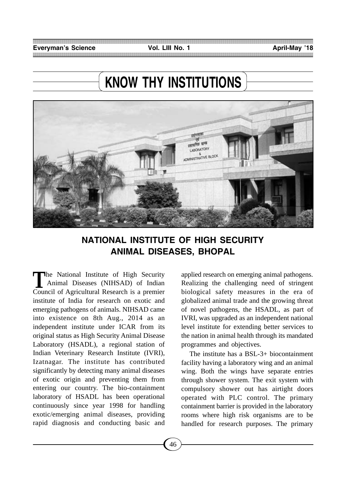# **KNOW THY INSTITUTIONS**



# **NATIONAL INSTITUTE OF HIGH SECURITY ANIMAL DISEASES, BHOPAL**

The National Institute of High Security<br>Animal Diseases (NIHSAD) of Indian Animal Diseases (NIHSAD) of Indian Council of Agricultural Research is a premier institute of India for research on exotic and emerging pathogens of animals. NIHSAD came into existence on 8th Aug., 2014 as an independent institute under ICAR from its original status as High Security Animal Disease Laboratory (HSADL), a regional station of Indian Veterinary Research Institute (IVRI), Izatnagar. The institute has contributed significantly by detecting many animal diseases of exotic origin and preventing them from entering our country. The bio-containment laboratory of HSADL has been operational continuously since year 1998 for handling exotic/emerging animal diseases, providing rapid diagnosis and conducting basic and applied research on emerging animal pathogens. Realizing the challenging need of stringent biological safety measures in the era of globalized animal trade and the growing threat of novel pathogens, the HSADL, as part of IVRI, was upgraded as an independent national level institute for extending better services to the nation in animal health through its mandated programmes and objectives.

The institute has a BSL-3+ biocontainment facility having a laboratory wing and an animal wing. Both the wings have separate entries through shower system. The exit system with compulsory shower out has airtight doors operated with PLC control. The primary containment barrier is provided in the laboratory rooms where high risk organisms are to be handled for research purposes. The primary

46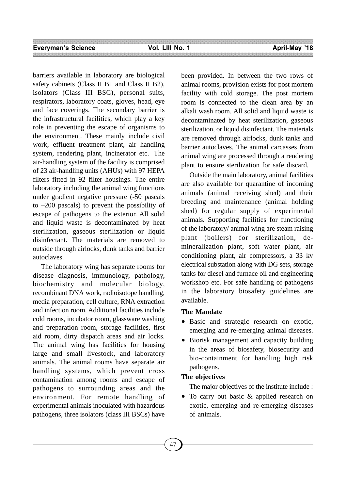barriers available in laboratory are biological safety cabinets (Class II B1 and Class II B2), isolators (Class III BSC), personal suits, respirators, laboratory coats, gloves, head, eye and face coverings. The secondary barrier is the infrastructural facilities, which play a key role in preventing the escape of organisms to the environment. These mainly include civil work, effluent treatment plant, air handling system, rendering plant, incinerator etc. The air-handling system of the facility is comprised of 23 air-handling units (AHUs) with 97 HEPA filters fitted in 92 filter housings. The entire laboratory including the animal wing functions under gradient negative pressure (-50 pascals to –200 pascals) to prevent the possibility of escape of pathogens to the exterior. All solid and liquid waste is decontaminated by heat sterilization, gaseous sterilization or liquid disinfectant. The materials are removed to outside through airlocks, dunk tanks and barrier autoclaves.

The laboratory wing has separate rooms for disease diagnosis, immunology, pathology, biochemistry and molecular biology, recombinant DNA work, radioisotope handling, media preparation, cell culture, RNA extraction and infection room. Additional facilities include cold rooms, incubator room, glassware washing and preparation room, storage facilities, first aid room, dirty dispatch areas and air locks. The animal wing has facilities for housing large and small livestock, and laboratory animals. The animal rooms have separate air handling systems, which prevent cross contamination among rooms and escape of pathogens to surrounding areas and the environment. For remote handling of experimental animals inoculated with hazardous pathogens, three isolators (class III BSCs) have

been provided. In between the two rows of animal rooms, provision exists for post mortem facility with cold storage. The post mortem room is connected to the clean area by an alkali wash room. All solid and liquid waste is decontaminated by heat sterilization, gaseous sterilization, or liquid disinfectant. The materials are removed through airlocks, dunk tanks and barrier autoclaves. The animal carcasses from animal wing are processed through a rendering plant to ensure sterilization for safe discard.

Outside the main laboratory, animal facilities are also available for quarantine of incoming animals (animal receiving shed) and their breeding and maintenance (animal holding shed) for regular supply of experimental animals. Supporting facilities for functioning of the laboratory/ animal wing are steam raising plant (boilers) for sterilization, demineralization plant, soft water plant, air conditioning plant, air compressors, a 33 kv electrical substation along with DG sets, storage tanks for diesel and furnace oil and engineering workshop etc. For safe handling of pathogens in the laboratory biosafety guidelines are available.

#### **The Mandate**

- Basic and strategic research on exotic, emerging and re-emerging animal diseases.
- Biorisk management and capacity building in the areas of biosafety, biosecurity and bio-containment for handling high risk pathogens.

## **The objectives**

The major objectives of the institute include :

• To carry out basic & applied research on exotic, emerging and re-emerging diseases of animals.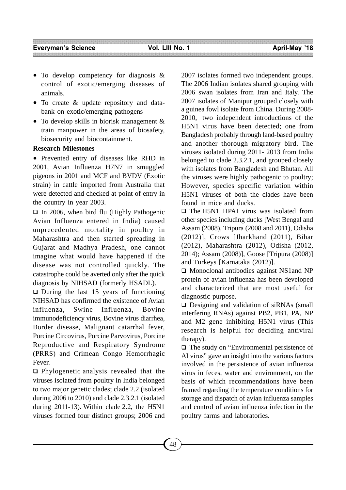- To develop competency for diagnosis & control of exotic/emerging diseases of animals.
- To create & update repository and databank on exotic/emerging pathogens
- To develop skills in biorisk management & train manpower in the areas of biosafety, biosecurity and biocontainment.

## **Research Milestones**

• Prevented entry of diseases like RHD in 2001, Avian Influenza H7N7 in smuggled pigeons in 2001 and MCF and BVDV (Exotic strain) in cattle imported from Australia that were detected and checked at point of entry in the country in year 2003.

 $\Box$  In 2006, when bird flu (Highly Pathogenic Avian Influenza entered in India) caused unprecedented mortality in poultry in Maharashtra and then started spreading in Gujarat and Madhya Pradesh, one cannot imagine what would have happened if the disease was not controlled quickly. The catastrophe could be averted only after the quick diagnosis by NIHSAD (formerly HSADL).

 $\Box$  During the last 15 years of functioning NIHSAD has confirmed the existence of Avian influenza, Swine Influenza, Bovine immunodeficiency virus, Bovine virus diarrhea, Border disease, Malignant catarrhal fever, Porcine Circovirus, Porcine Parvovirus, Porcine Reproductive and Respiratory Syndrome (PRRS) and Crimean Congo Hemorrhagic Fever.

 $\Box$  Phylogenetic analysis revealed that the viruses isolated from poultry in India belonged to two major genetic clades; clade 2.2 (isolated during 2006 to 2010) and clade 2.3.2.1 (isolated during 2011-13). Within clade 2.2, the H5N1 viruses formed four distinct groups; 2006 and 2007 isolates formed two independent groups. The 2006 Indian isolates shared grouping with 2006 swan isolates from Iran and Italy. The 2007 isolates of Manipur grouped closely with a guinea fowl isolate from China. During 2008- 2010, two independent introductions of the H5N1 virus have been detected; one from Bangladesh probably through land-based poultry and another thorough migratory bird. The viruses isolated during 2011- 2013 from India belonged to clade 2.3.2.1, and grouped closely with isolates from Bangladesh and Bhutan. All the viruses were highly pathogenic to poultry; However, species specific variation within H5N1 viruses of both the clades have been found in mice and ducks.

□ The H5N1 HPAI virus was isolated from other species including ducks [West Bengal and Assam (2008), Tripura (2008 and 2011), Odisha (2012)], Crows [Jharkhand (2011), Bihar (2012), Maharashtra (2012), Odisha (2012, 2014); Assam (2008)], Goose [Tripura (2008)] and Turkeys [Karnataka (2012)].

 Monoclonal antibodies against NS1and NP protein of avian influenza has been developed and characterized that are most useful for diagnostic purpose.

 $\Box$  Designing and validation of siRNAs (small interfering RNAs) against PB2, PB1, PA, NP and M2 gene inhibiting H5N1 virus (This research is helpful for deciding antiviral therapy).

 $\Box$  The study on "Environmental persistence of AI virus" gave an insight into the various factors involved in the persistence of avian influenza virus in feces, water and environment, on the basis of which recommendations have been framed regarding the temperature conditions for storage and dispatch of avian influenza samples and control of avian influenza infection in the poultry farms and laboratories.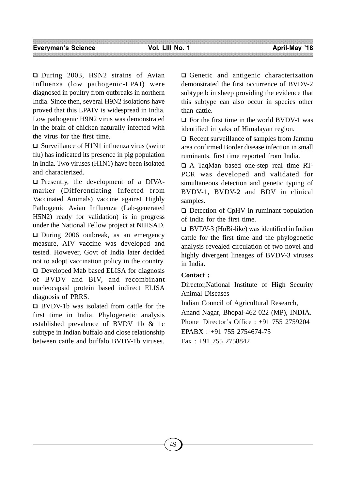During 2003, H9N2 strains of Avian Influenza (low pathogenic-LPAI) were diagnosed in poultry from outbreaks in northern India. Since then, several H9N2 isolations have proved that this LPAIV is widespread in India. Low pathogenic H9N2 virus was demonstrated in the brain of chicken naturally infected with the virus for the first time.

 $\Box$  Surveillance of H1N1 influenza virus (swine flu) has indicated its presence in pig population in India. Two viruses (H1N1) have been isolated and characterized.

 $\Box$  Presently, the development of a DIVAmarker (Differentiating Infected from Vaccinated Animals) vaccine against Highly Pathogenic Avian Influenza (Lab-generated H5N2) ready for validation) is in progress under the National Fellow project at NIHSAD.  $\Box$  During 2006 outbreak, as an emergency measure, AIV vaccine was developed and tested. However, Govt of India later decided not to adopt vaccination policy in the country.

□ Developed Mab based ELISA for diagnosis of BVDV and BIV, and recombinant nucleocapsid protein based indirect ELISA diagnosis of PRRS.

 BVDV-1b was isolated from cattle for the first time in India. Phylogenetic analysis established prevalence of BVDV 1b & 1c subtype in Indian buffalo and close relationship between cattle and buffalo BVDV-1b viruses.

Genetic and antigenic characterization demonstrated the first occurrence of BVDV-2 subtype b in sheep providing the evidence that this subtype can also occur in species other than cattle.

 $\Box$  For the first time in the world BVDV-1 was identified in yaks of Himalayan region.

**□** Recent surveillance of samples from Jammu area confirmed Border disease infection in small ruminants, first time reported from India.

 A TaqMan based one-step real time RT-PCR was developed and validated for simultaneous detection and genetic typing of BVDV-1, BVDV-2 and BDV in clinical samples.

 $\Box$  Detection of CpHV in ruminant population of India for the first time.

 $\Box$  BVDV-3 (HoBi-like) was identified in Indian cattle for the first time and the phylogenetic analysis revealed circulation of two novel and highly divergent lineages of BVDV-3 viruses in India.

#### **Contact :**

Director,National Institute of High Security Animal Diseases

Indian Council of Agricultural Research, Anand Nagar, Bhopal-462 022 (MP), INDIA. Phone Director's Office : +91 755 2759204

EPABX : +91 755 2754674-75

Fax : +91 755 2758842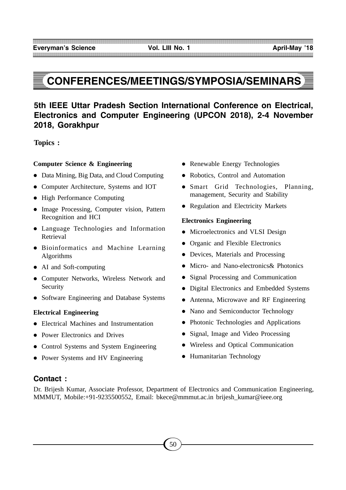# **CONFERENCES/MEETINGS/SYMPOSIA/SEMINARS**

# **5th IEEE Uttar Pradesh Section International Conference on Electrical, Electronics and Computer Engineering (UPCON 2018), 2-4 November 2018, Gorakhpur**

**Topics :**

## **Computer Science & Engineering**

- Data Mining, Big Data, and Cloud Computing
- Computer Architecture, Systems and IOT
- High Performance Computing
- Image Processing, Computer vision, Pattern Recognition and HCI
- Language Technologies and Information Retrieval
- Bioinformatics and Machine Learning Algorithms
- AI and Soft-computing
- Computer Networks, Wireless Network and Security
- Software Engineering and Database Systems

#### **Electrical Engineering**

- Electrical Machines and Instrumentation
- Power Electronics and Drives
- Control Systems and System Engineering
- Power Systems and HV Engineering
- Renewable Energy Technologies
- Robotics, Control and Automation
- Smart Grid Technologies, Planning, management, Security and Stability
- Regulation and Electricity Markets

#### **Electronics Engineering**

- Microelectronics and VLSI Design
- Organic and Flexible Electronics
- Devices, Materials and Processing
- Micro- and Nano-electronics & Photonics
- Signal Processing and Communication
- Digital Electronics and Embedded Systems
- Antenna, Microwave and RF Engineering
- Nano and Semiconductor Technology
- Photonic Technologies and Applications
- Signal, Image and Video Processing
- Wireless and Optical Communication
- Humanitarian Technology

# **Contact :**

Dr. Brijesh Kumar, Associate Professor, Department of Electronics and Communication Engineering, MMMUT, Mobile:+91-9235500552, Email: bkece@mmmut.ac.in brijesh\_kumar@ieee.org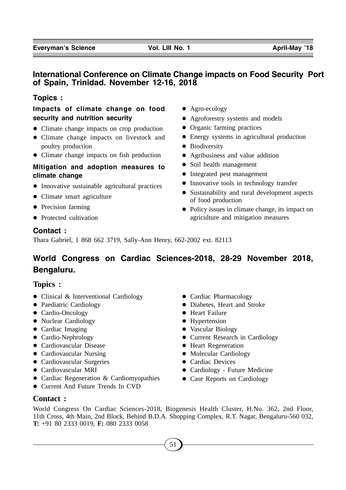# **International Conference on Climate Change impacts on Food Security Port of Spain, Trinidad. November 12-16, 2018**

# **Topics :**

# **Impacts of climate change on food security and nutrition security**

- Climate change impacts on crop production
- Climate change impacts on livestock and poultry production
- Climate change impacts on fish production

# **Mitigation and adoption measures to climate change**

- Innovative sustainable agricultural practices
- Climate smart agriculture
- Precision farming
- Protected cultivation
- Agro-ecology
- Agroforestry systems and models
- Organic farming practices
- Energy systems in agricultural production
- Biodiversity
- Agribusiness and value addition
- Soil health management
- Integrated pest management
- Innovative tools in technology transfer
- Sustainability and rural development aspects of food production
- Policy issues in climate change, its impact on agriculture and mitigation measures

# **Contact :**

Thara Gabriel, 1 868 662 3719, Sally-Ann Henry, 662-2002 ext. 82113

# **World Congress on Cardiac Sciences-2018, 28-29 November 2018, Bengaluru.**

# **Topics :**

- Clinical & Interventional Cardiology
- Paediatric Cardiology
- Cardio-Oncology
- Nuclear Cardiology
- Cardiac Imaging
- Cardio-Nephrology
- Cardiovascular Disease
- Cardiovascular Nursing
- Cardiovascular Surgeries
- Cardiovascular MRI
- Cardiac Regeneration & Cardiomyopathies
- Current And Future Trends In CVD
- Cardiac Pharmacology
- Diabetes, Heart and Stroke
- **•** Heart Failure
- Hypertension
- Vascular Biology
- Current Research in Cardiology
- Heart Regeneration
- Molecular Cardiology
- Cardiac Devices
- Cardiology Future Medicine
- Case Reports on Cardiology

**Contact :**

World Congress On Cardiac Sciences-2018, Biogenesis Health Cluster, H.No. 362, 2nd Floor, 11th Cross, 4th Main, 2nd Block, Behind B.D.A. Shopping Complex, R.T. Nagar, Bengaluru-560 032, **T:** +91 80 2333 0019, **F:** 080 2333 0058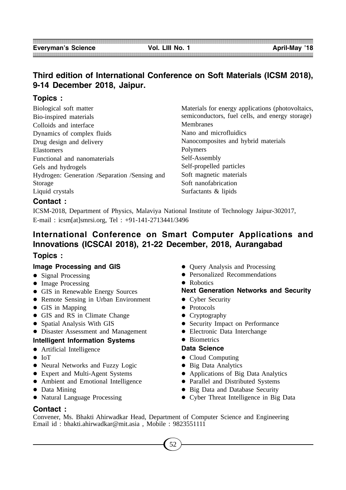# **Third edition of International Conference on Soft Materials (ICSM 2018), 9-14 December 2018, Jaipur.**

# **Topics :**

| Biological soft matter                        |
|-----------------------------------------------|
| Bio-inspired materials                        |
| Colloids and interface                        |
| Dynamics of complex fluids                    |
| Drug design and delivery                      |
| Elastomers                                    |
| Functional and nanomaterials                  |
| Gels and hydrogels                            |
| Hydrogen: Generation /Separation /Sensing and |
| Storage                                       |
| Liquid crystals                               |

Materials for energy applications (photovoltaics, semiconductors, fuel cells, and energy storage) Membranes Nano and microfluidics Nanocomposites and hybrid materials Polymers Self-Assembly Self-propelled particles Soft magnetic materials Soft nanofabrication Surfactants & lipids

# **Contact :**

ICSM-2018, Department of Physics, Malaviya National Institute of Technology Jaipur-302017, E-mail : icsm[at]smrsi.org, Tel : +91-141-2713441/3496

# **International Conference on Smart Computer Applications and Innovations (ICSCAI 2018), 21-22 December, 2018, Aurangabad**

# **Topics :**

#### **Image Processing and GIS**

- Signal Processing
- Image Processing
- GIS in Renewable Energy Sources
- Remote Sensing in Urban Environment
- GIS in Mapping
- GIS and RS in Climate Change
- Spatial Analysis With GIS
- Disaster Assessment and Management

# **Intelligent Information Systems**

- Artificial Intelligence
- $\bullet$  IoT
- Neural Networks and Fuzzy Logic
- Expert and Multi-Agent Systems
- Ambient and Emotional Intelligence
- Data Mining
- Natural Language Processing
- Query Analysis and Processing
- **•** Personalized Recommendations
- Robotics

# **Next Generation Networks and Security**

- Cyber Security
- Protocols
- Cryptography
- Security Impact on Performance
- Electronic Data Interchange
- Biometrics

# **Data Science**

- Cloud Computing
- Big Data Analytics
- Applications of Big Data Analytics
- Parallel and Distributed Systems
- Big Data and Database Security
- Cyber Threat Intelligence in Big Data

# **Contact :**

Convener, Ms. Bhakti Ahirwadkar Head, Department of Computer Science and Engineering Email id : bhakti.ahirwadkar@mit.asia , Mobile : 9823551111

52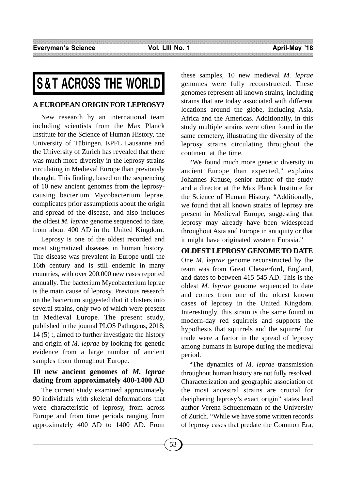# **S&T ACROSS THE WORLD**

# **A EUROPEAN ORIGIN FOR LEPROSY?**

New research by an international team including scientists from the Max Planck Institute for the Science of Human History, the University of Tübingen, EPFL Lausanne and the University of Zurich has revealed that there was much more diversity in the leprosy strains circulating in Medieval Europe than previously thought. This finding, based on the sequencing of 10 new ancient genomes from the leprosycausing bacterium Mycobacterium leprae, complicates prior assumptions about the origin and spread of the disease, and also includes the oldest *M. leprae* genome sequenced to date, from about 400 AD in the United Kingdom.

Leprosy is one of the oldest recorded and most stigmatized diseases in human history. The disease was prevalent in Europe until the 16th century and is still endemic in many countries, with over 200,000 new cases reported annually. The bacterium Mycobacterium leprae is the main cause of leprosy. Previous research on the bacterium suggested that it clusters into several strains, only two of which were present in Medieval Europe. The present study, published in the journal PLOS Pathogens, 2018; 14 (5) :, aimed to further investigate the history and origin of *M. leprae* by looking for genetic evidence from a large number of ancient samples from throughout Europe.

# **10 new ancient genomes of** *M. leprae* **dating from approximately 400-1400 AD**

The current study examined approximately 90 individuals with skeletal deformations that were characteristic of leprosy, from across Europe and from time periods ranging from approximately 400 AD to 1400 AD. From these samples, 10 new medieval *M. leprae* genomes were fully reconstructed. These genomes represent all known strains, including strains that are today associated with different locations around the globe, including Asia, Africa and the Americas. Additionally, in this study multiple strains were often found in the same cemetery, illustrating the diversity of the leprosy strains circulating throughout the continent at the time.

"We found much more genetic diversity in ancient Europe than expected," explains Johannes Krause, senior author of the study and a director at the Max Planck Institute for the Science of Human History. "Additionally, we found that all known strains of leprosy are present in Medieval Europe, suggesting that leprosy may already have been widespread throughout Asia and Europe in antiquity or that it might have originated western Eurasia."

# **OLDEST LEPROSY GENOME TO DATE**

One *M. leprae* genome reconstructed by the team was from Great Chesterford, England, and dates to between 415-545 AD. This is the oldest *M. leprae* genome sequenced to date and comes from one of the oldest known cases of leprosy in the United Kingdom. Interestingly, this strain is the same found in modern-day red squirrels and supports the hypothesis that squirrels and the squirrel fur trade were a factor in the spread of leprosy among humans in Europe during the medieval period.

"The dynamics of *M. leprae* transmission throughout human history are not fully resolved. Characterization and geographic association of the most ancestral strains are crucial for deciphering leprosy's exact origin" states lead author Verena Schuenemann of the University of Zurich. "While we have some written records of leprosy cases that predate the Common Era,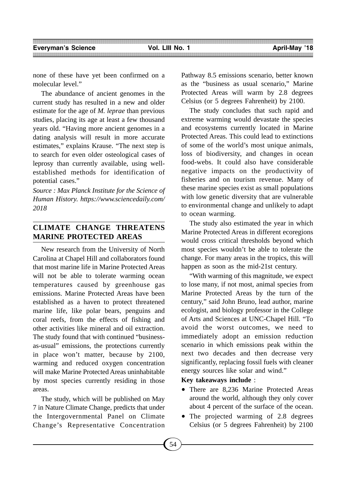none of these have yet been confirmed on a molecular level."

The abundance of ancient genomes in the current study has resulted in a new and older estimate for the age of *M. leprae* than previous studies, placing its age at least a few thousand years old. "Having more ancient genomes in a dating analysis will result in more accurate estimates," explains Krause. "The next step is to search for even older osteological cases of leprosy than currently available, using wellestablished methods for identification of potential cases."

*Source : Max Planck Institute for the Science of Human History. https://www.sciencedaily.com/ 2018*

# **CLIMATE CHANGE THREATENS MARINE PROTECTED AREAS**

New research from the University of North Carolina at Chapel Hill and collaborators found that most marine life in Marine Protected Areas will not be able to tolerate warming ocean temperatures caused by greenhouse gas emissions. Marine Protected Areas have been established as a haven to protect threatened marine life, like polar bears, penguins and coral reefs, from the effects of fishing and other activities like mineral and oil extraction. The study found that with continued "businessas-usual" emissions, the protections currently in place won't matter, because by 2100, warming and reduced oxygen concentration will make Marine Protected Areas uninhabitable by most species currently residing in those areas.

The study, which will be published on May 7 in Nature Climate Change, predicts that under the Intergovernmental Panel on Climate Change's Representative Concentration

Pathway 8.5 emissions scenario, better known as the "business as usual scenario," Marine Protected Areas will warm by 2.8 degrees Celsius (or 5 degrees Fahrenheit) by 2100.

The study concludes that such rapid and extreme warming would devastate the species and ecosystems currently located in Marine Protected Areas. This could lead to extinctions of some of the world's most unique animals, loss of biodiversity, and changes in ocean food-webs. It could also have considerable negative impacts on the productivity of fisheries and on tourism revenue. Many of these marine species exist as small populations with low genetic diversity that are vulnerable to environmental change and unlikely to adapt to ocean warming.

The study also estimated the year in which Marine Protected Areas in different ecoregions would cross critical thresholds beyond which most species wouldn't be able to tolerate the change. For many areas in the tropics, this will happen as soon as the mid-21st century.

"With warming of this magnitude, we expect to lose many, if not most, animal species from Marine Protected Areas by the turn of the century," said John Bruno, lead author, marine ecologist, and biology professor in the College of Arts and Sciences at UNC-Chapel Hill. "To avoid the worst outcomes, we need to immediately adopt an emission reduction scenario in which emissions peak within the next two decades and then decrease very significantly, replacing fossil fuels with cleaner energy sources like solar and wind."

## **Key takeaways include** :

- There are 8,236 Marine Protected Areas around the world, although they only cover about 4 percent of the surface of the ocean.
- The projected warming of 2.8 degrees Celsius (or 5 degrees Fahrenheit) by 2100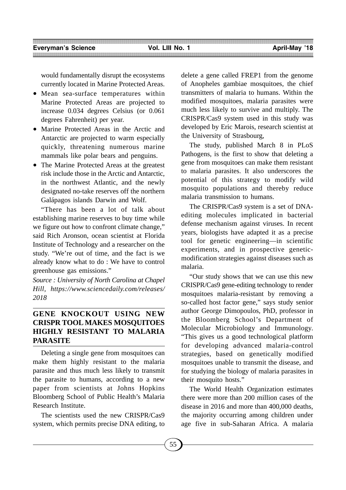would fundamentally disrupt the ecosystems currently located in Marine Protected Areas.

- Mean sea-surface temperatures within Marine Protected Areas are projected to increase 0.034 degrees Celsius (or 0.061 degrees Fahrenheit) per year.
- Marine Protected Areas in the Arctic and Antarctic are projected to warm especially quickly, threatening numerous marine mammals like polar bears and penguins.
- The Marine Protected Areas at the greatest risk include those in the Arctic and Antarctic, in the northwest Atlantic, and the newly designated no-take reserves off the northern Galápagos islands Darwin and Wolf.

"There has been a lot of talk about establishing marine reserves to buy time while we figure out how to confront climate change," said Rich Aronson, ocean scientist at Florida Institute of Technology and a researcher on the study. "We're out of time, and the fact is we already know what to do : We have to control greenhouse gas emissions."

*Source : University of North Carolina at Chapel Hill, https://www.sciencedaily.com/releases/ 2018*

# **GENE KNOCKOUT USING NEW CRISPR TOOL MAKES MOSQUITOES HIGHLY RESISTANT TO MALARIA PARASITE**

Deleting a single gene from mosquitoes can make them highly resistant to the malaria parasite and thus much less likely to transmit the parasite to humans, according to a new paper from scientists at Johns Hopkins Bloomberg School of Public Health's Malaria Research Institute.

The scientists used the new CRISPR/Cas9 system, which permits precise DNA editing, to delete a gene called FREP1 from the genome of Anopheles gambiae mosquitoes, the chief transmitters of malaria to humans. Within the modified mosquitoes, malaria parasites were much less likely to survive and multiply. The CRISPR/Cas9 system used in this study was developed by Eric Marois, research scientist at the University of Strasbourg,

The study, published March 8 in PLoS Pathogens, is the first to show that deleting a gene from mosquitoes can make them resistant to malaria parasites. It also underscores the potential of this strategy to modify wild mosquito populations and thereby reduce malaria transmission to humans.

The CRISPR/Cas9 system is a set of DNAediting molecules implicated in bacterial defense mechanism against viruses. In recent years, biologists have adapted it as a precise tool for genetic engineering—in scientific experiments, and in prospective geneticmodification strategies against diseases such as malaria.

"Our study shows that we can use this new CRISPR/Cas9 gene-editing technology to render mosquitoes malaria-resistant by removing a so-called host factor gene," says study senior author George Dimopoulos, PhD, professor in the Bloomberg School's Department of Molecular Microbiology and Immunology. "This gives us a good technological platform for developing advanced malaria-control strategies, based on genetically modified mosquitoes unable to transmit the disease, and for studying the biology of malaria parasites in their mosquito hosts."

The World Health Organization estimates there were more than 200 million cases of the disease in 2016 and more than 400,000 deaths, the majority occurring among children under age five in sub-Saharan Africa. A malaria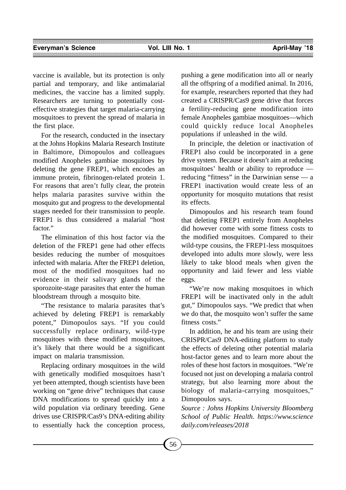vaccine is available, but its protection is only partial and temporary, and like antimalarial medicines, the vaccine has a limited supply. Researchers are turning to potentially costeffective strategies that target malaria-carrying mosquitoes to prevent the spread of malaria in the first place.

For the research, conducted in the insectary at the Johns Hopkins Malaria Research Institute in Baltimore, Dimopoulos and colleagues modified Anopheles gambiae mosquitoes by deleting the gene FREP1, which encodes an immune protein, fibrinogen-related protein 1. For reasons that aren't fully clear, the protein helps malaria parasites survive within the mosquito gut and progress to the developmental stages needed for their transmission to people. FREP1 is thus considered a malarial "host factor."

The elimination of this host factor via the deletion of the FREP1 gene had other effects besides reducing the number of mosquitoes infected with malaria. After the FREP1 deletion, most of the modified mosquitoes had no evidence in their salivary glands of the sporozoite-stage parasites that enter the human bloodstream through a mosquito bite.

"The resistance to malaria parasites that's achieved by deleting FREP1 is remarkably potent," Dimopoulos says. "If you could successfully replace ordinary, wild-type mosquitoes with these modified mosquitoes, it's likely that there would be a significant impact on malaria transmission.

Replacing ordinary mosquitoes in the wild with genetically modified mosquitoes hasn't yet been attempted, though scientists have been working on "gene drive" techniques that cause DNA modifications to spread quickly into a wild population via ordinary breeding. Gene drives use CRISPR/Cas9's DNA-editing ability to essentially hack the conception process, pushing a gene modification into all or nearly all the offspring of a modified animal. In 2016, for example, researchers reported that they had created a CRISPR/Cas9 gene drive that forces a fertility-reducing gene modification into female Anopheles gambiae mosquitoes—which could quickly reduce local Anopheles populations if unleashed in the wild.

In principle, the deletion or inactivation of FREP1 also could be incorporated in a gene drive system. Because it doesn't aim at reducing mosquitoes' health or ability to reproduce reducing "fitness" in the Darwinian sense — a FREP1 inactivation would create less of an opportunity for mosquito mutations that resist its effects.

Dimopoulos and his research team found that deleting FREP1 entirely from Anopheles did however come with some fitness costs to the modified mosquitoes. Compared to their wild-type cousins, the FREP1-less mosquitoes developed into adults more slowly, were less likely to take blood meals when given the opportunity and laid fewer and less viable eggs.

"We're now making mosquitoes in which FREP1 will be inactivated only in the adult gut," Dimopoulos says. "We predict that when we do that, the mosquito won't suffer the same fitness costs."

In addition, he and his team are using their CRISPR/Cas9 DNA-editing platform to study the effects of deleting other potential malaria host-factor genes and to learn more about the roles of these host factors in mosquitoes. "We're focused not just on developing a malaria control strategy, but also learning more about the biology of malaria-carrying mosquitoes," Dimopoulos says.

*Source : Johns Hopkins University Bloomberg School of Public Health. https://www.science daily.com/releases/2018*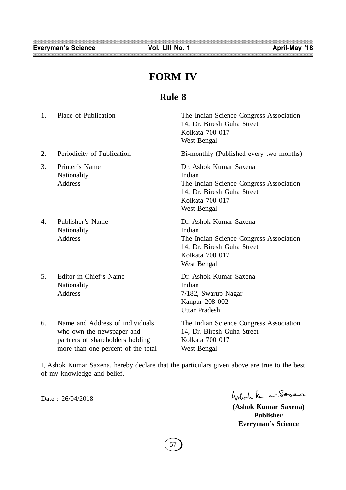Everyman's Science **Vol. LIII No. 1** April-May '18

# **FORM IV**

# **Rule 8**

| 1.             | Place of Publication                                                                             | The Indian Science Congress Association<br>14, Dr. Biresh Guha Street<br>Kolkata 700 017<br>West Bengal                                     |
|----------------|--------------------------------------------------------------------------------------------------|---------------------------------------------------------------------------------------------------------------------------------------------|
| 2.             | Periodicity of Publication                                                                       | Bi-monthly (Published every two months)                                                                                                     |
| 3.             | Printer's Name<br>Nationality<br><b>Address</b>                                                  | Dr. Ashok Kumar Saxena<br>Indian<br>The Indian Science Congress Association<br>14, Dr. Biresh Guha Street<br>Kolkata 700 017<br>West Bengal |
| $\mathbf{4}$ . | Publisher's Name<br>Nationality<br><b>Address</b>                                                | Dr. Ashok Kumar Saxena<br>Indian<br>The Indian Science Congress Association<br>14, Dr. Biresh Guha Street<br>Kolkata 700 017<br>West Bengal |
| 5.             | Editor-in-Chief's Name<br>Nationality<br><b>Address</b>                                          | Dr. Ashok Kumar Saxena<br>Indian<br>7/182, Swarup Nagar<br>Kanpur 208 002<br><b>Uttar Pradesh</b>                                           |
| 6.             | Name and Address of individuals<br>who own the newspaper and<br>partners of shareholders holding | The Indian Science Congress Association<br>14, Dr. Biresh Guha Street<br>Kolkata 700 017                                                    |

I, Ashok Kumar Saxena, hereby declare that the particulars given above are true to the best of my knowledge and belief.

more than one percent of the total West Bengal

Date : 26/04/2018

Ashot Kune Sopea

**(Ashok Kumar Saxena) Publisher Everyman's Science**

57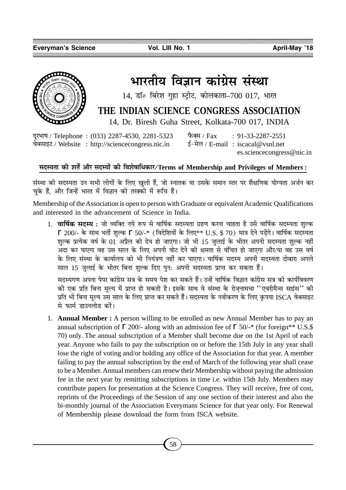

# भारतीय विज्ञान कांग्रेस संस्था

 $14$ , डॉ॰ बिरेश गुहा स्ट्रीट, कोलकाता-700 017, भारत

# **THE INDIAN SCIENCE CONGRESS ASSOCIATION**

14, Dr. Biresh Guha Street, Kolkata-700 017, INDIA

दूरभाष / Telephone: (033) 2287-4530, 2281-5323 फैक्स / Fax : 91-33-2287-2551 वेबसाइट / Website : http://sciencecongress.nic.in  $\frac{1}{5} - \frac{1}{7}$ ल / E-mail : iscacal@vsnl.net

es.sciencecongress@nic.in

# **'ŒSÿÃÊ ∑§Ë ‡ÊÃZ •ı⁄ 'ŒSÿÊ¢ ∑§Ë Áfl‡Ê·ÊÁœ∑§Ê⁄/Terms of Membership and Privileges of Members :**

संस्था की सदस्यता उन सभी लोगों के लिए खली हैं. जो स्नातक या उसके समान स्तर पर शैक्षणिक योग्यता अर्जन कर चके हैं. और जिन्हें भारत में विज्ञान की तरक्की में रूचि हैं।

Membership of the Association is open to person with Graduate or equivalent Academic Qualifications and interested in the advancement of Science in India.

1. **वार्षिक सदस्य :** जो व्यक्ति नये रूप से वार्षिक सदस्यता ग्रहण करना चाहता है उसे वार्षिक सदस्यता शुल्क  $\Gamma$  200/- के साथ भर्ती शल्क  $\Gamma$  50/-\* (विदेशियों के लिए\*\* U.S. \$ 70) मात्र देने पडेंगे। वार्षिक सदस्यता शुल्क प्रत्येक वर्ष के 01 अप्रैल को देय हो जाएगा। जो भी 15 जुलाई के भीतर अपनी सदस्यता शुल्क नहीं अदा कर पाएगा वह उस साल के लिए अपनी वोट देने की क्षमता से वंचित हो जाएगा और⁄या वह उस वर्ष के लिए संस्था के कार्यालय को भी नियंत्रण नहीं कर पाएगा। वार्षिक सदस्य अपनी सदस्यता दोबारा अगले साल 15 जुलाई के भीतर बिना शुल्क दिए पुन: अपनी सदस्यता प्राप्त कर सकता हैं।

सदस्यगण अपना पेपर कांग्रेस सत्र के समय पेश कर सकते हैं। उन्हें वार्षिक विज्ञान कांग्रेस सत्र की कार्यविवरण की एक प्रति बिना मूल्य में प्राप्त हो सकती है। इसके साथ वे संस्था के रोजनामचा ''एवरीमैन्स साइंस'' की प्रति भी बिना मूल्य उस साल के लिए प्राप्त कर सकते हैं। सदस्यता के नवीकरण के लिए कृपया ISCA वेबसाइट से फार्म डाउनलोड करें।

1. **Annual Member :** A person willing to be enrolled as new Annual Member has to pay an annual subscription of  $\Gamma$  200/- along with an admission fee of  $\Gamma$  50/-\* (for foreign\*\* U.S.\$) 70) only. The annual subscription of a Member shall become due on the 1st April of each year. Anyone who fails to pay the subscription on or before the 15th July in any year shall lose the right of voting and/or holding any office of the Association for that year. A member failing to pay the annual subscription by the end of March of the following year shall cease to be a Member. Annual members can renew their Membership without paying the admission fee in the next year by remitting subscriptions in time i.e. within 15th July. Members may contribute papers for presentation at the Science Congress. They will receive, free of cost, reprints of the Proceedings of the Session of any one section of their interest and also the bi-monthly journal of the Association Everymans Science for that year only. For Renewal of Membership please download the form from ISCA website.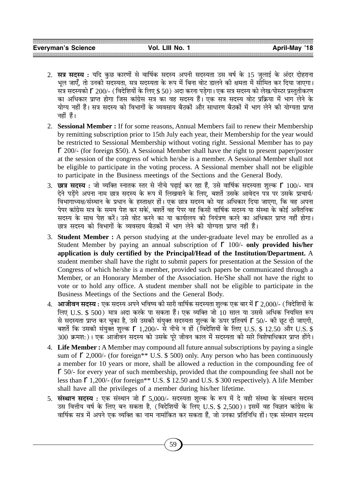- 2. सत्र सदस्य : यदि कछ कारणों से वार्षिक सदस्य अपनी सदस्यता उस वर्ष के 15 जलाई के अंदर दोहराना भल जाएँ. तो उनकी सदस्यता. सत्र सदस्यता के रूप में बिना वोट डालने की क्षमता में सोमित कर दिया जाएगा। सत्र सदस्यको 广 200/- ( विदेशियों के लिए \$ 50) अदा करना पडेगा। एक सत्र सदस्य को लेख⁄पोस्टर प्रस्तुतीकरण का अधिकार प्राप्त होगा जिस कांग्रेस सत्र का वह सदस्य हैं। एक सत्र सदस्य वोट प्रक्रिया में भाग लेने के योग्य नहीं हैं। सत्र सदस्य को विभागों के व्यवसाय बैठकों और साधारण बैठकों में भाग लेने की योग्यता प्राप्त नहीं हैं।
- 2. **Sessional Member :** If for some reasons, Annual Members fail to renew their Membership by remitting subscription prior to 15th July each year, their Membership for the year would be restricted to Sessional Membership without voting right. Sessional Member has to pay r 200/- (for foreign \$50). A Sessional Member shall have the right to present paper/poster at the session of the congress of which he/she is a member. A Sessional Member shall not be eligible to participate in the voting process. A Sessional member shall not be eligible to participate in the Business meetings of the Sections and the General Body.
- 3. **छात्र सदस्य**: जो व्यक्ति स्नातक स्तर से नीचे पढाई कर रहा हैं, उसे वार्षिक सदस्यता शुल्क ∫ 100/- मात्र देने पडेंगे अपना नाम छात्र सदस्य के रूप में लिखवाने के लिए. बशर्ते उसके आवेदन पत्र पर उसके प्राचार्य/ विभागाध्यक्ष/संस्थान के प्रधान के हस्ताक्षर हों। एक छात्र सदस्य को यह अधिकार दिया जाएगा. कि वह अपना पेपर कांग्रेस सत्र के समय पेश कर सकें, बशर्ते वह पेपर वह किसी वार्षिक सदस्य या संस्था के कोई अवैतनिक सदस्य के साथ पेश करें। उसे वोट करने का या कार्यालय को नियंत्रण करने का अधिकार प्राप्त नहीं होगा। छात्र सदस्य को विभागों के व्यवसाय बैठकों में भाग लेने की योग्यता प्राप्त नहीं हैं।
- 3. **Student Member :** A person studying at the under-graduate level may be enrolled as a Student Member by paying an annual subscription of  $\Gamma$  100/- only provided his/her **application is duly certified by the Principal/Head of the Institution/Department.** A student member shall have the right to submit papers for presentation at the Session of the Congress of which he/she is a member, provided such papers be communicated through a Member, or an Honorary Member of the Association. He/She shall not have the right to vote or to hold any office. A student member shall not be eligible to participate in the Business Meetings of the Sections and the General Body.
- 4. **आजीवन सदस्य :** एक सदस्य अपने भविष्य की सारी वार्षिक सदस्यता शुल्क एक बार में Г 2,000/- ( विदेशियों के लिए U.S. \$ 500) मात्र अदा करके पा सकता हैं। एक व्यक्ति जो 10 साल या उससे अधिक नियमित रूप से सदस्यता प्राप्त कर चुका है, उसे उसकी संयुक्त सदस्यता शुल्क के ऊपर प्रतिवर्ष ſ 50/- की छूट दी जाएगी, बशर्ते कि उसकी संयुक्त शुल्क  $\Gamma$  1,200/- से नीचे न हों (विदेशियों के लिए U.S. \$ 12.50 और U.S. \$ 300 क्रमश:)। एक आजीवन सदस्य को उसके पूरे जीवन काल में सदस्यता की सारे विशेषाधिकार प्राप्त होंगे।
- 4. **Life Member :** A Member may compound all future annual subscriptions by paying a single sum of  $\Gamma$  2,000/- (for foreign\*\* U.S. \$ 500) only. Any person who has been continuously a member for 10 years or more, shall be allowed a reduction in the compounding fee of r 50/- for every year of such membership, provided that the compounding fee shall not be less than  $\Gamma$  1,200/- (for foreign\*\* U.S. \$ 12.50 and U.S. \$ 300 respectively). A life Member shall have all the privileges of a member during his/her lifetime.
- 5. **संस्थान सदस्य**: एक संस्थान जो ſ 5,000/- सदस्यता शुल्क के रूप में दे वही संस्था के संस्थान सदस्य उस वित्तीय वर्ष के लिए बन सकता है, (विदेशियों के लिए U.S. \$ 2,500)। इसमें वह विज्ञान कांग्रेस के वार्षिक सत्र में अपने एक व्यक्ति का नाम नामांकित कर सकता हैं, जो उनका प्रतिनिधि हों। एक संस्थान सदस्य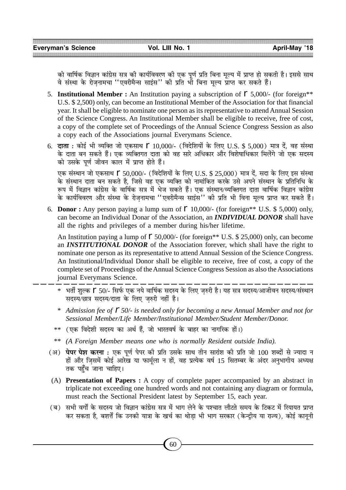को वार्षिक विज्ञान कांग्रेस सत्र की कार्यविवरण की एक पूर्ण प्रति बिना मूल्य में प्राप्त हो सकती है। इससे साथ ंवे संस्था के रोजनामचा ''एवरीमैन्स साइंस'' की प्रति भी बिना मूल्य प्राप्त कर सकते हैं।

- 5. **Institutional Member :** An Institution paying a subscription of  $\Gamma$  5,000/- (for foreign\*\* U.S. \$ 2,500) only, can become an Institutional Member of the Association for that financial year. It shall be eligible to nominate one person as its representative to attend Annual Session of the Science Congress. An Institutional Member shall be eligible to receive, free of cost, a copy of the complete set of Proceedings of the Annual Science Congress Session as also a copy each of the Associations journal Everymans Science.
- 6. **दाता**: कोई भी व्यक्ति जो एकसाथ । 10,000/- (विदेशियों के लिए U.S. \$ 5,000) मात्र दें, वह संस्था के दाता बन सकते हैं। एक व्यक्तिगत दाता को वह सारे अधिकार और विशेषाधिकार मिलेंगे जो एक सदस्य को उसके पर्ण जीवन काल में प्राप्त होते हैं।

एक संस्थान जो एकसाथ Г 50,000/- (विदेशियों के लिए U.S. \$ 25,000) मात्र दें, सदा के लिए इस संस्था के संस्थान दाता बन सकते है. जिसे वह एक व्यक्ति को नामांकित करके उसे अपने संस्थान के प्रतिनिधि के रूप में विज्ञान कांग्रेस के वार्षिक सत्र में भेज सकते हैं। एक संस्थान/व्यक्तिगत दाता वार्षिक विज्ञान कांग्रेस के कार्यविवरण और संस्था के रोजनामचा ''एवरीमैन्स साइंस'' की प्रति भी विना मूल्य प्राप्त कर सकते हैं।

6. **Donor**: Any person paying a lump sum of  $\Gamma$  10,000/- (for foreign\*\* U.S. \$ 5,000) only, can become an Individual Donar of the Association, an *INDIVIDUAL DONOR* shall have all the rights and privileges of a member during his/her lifetime.

An Institution paying a lump of  $\Gamma$  50,000/- (for foreign\*\* U.S. \$ 25,000) only, can become an *INSTITUTIONAL DONOR* of the Association forever, which shall have the right to nominate one person as its representative to attend Annual Session of the Science Congress. An Institutional/Individual Donor shall be eligible to receive, free of cost, a copy of the complete set of Proceedings of the Annual Science Congress Session as also the Associations journal Everymans Science.

- $\,^*$  भर्ती शल्क  $\,$  50/- सिर्फ एक नये वार्षिक सदस्य के लिए जरुरी है। यह सत्र सदस्य/आजीवन सदस्य/संस्थान सदस्य/छात्र सदस्य/दाता के लिए जरुरी नहीं है।
- \* Admission fee of  $\Gamma$  50/- is needed only for becoming a new Annual Member and not for *Sessional Member/Life Member/Institutional Member/Student Member/Donor.*
- \*\* (एक विदेशी सदस्य का अर्थ हैं, जो भारतवर्ष के बाहर का नागरिक हों।)
- \*\* *(A Foreign Member means one who is normally Resident outside India).*
- (अ) **पेपर पेश करना** : एक पर्ण पेपर की प्रति उसके साथ तीन सारांश की प्रति जो 100 शब्दों से ज्यादा न हों और ज़िसमें कोई आरेख या फार्मूला न हों, वह प्रत्येक वर्ष 15 सितम्बर के अंदर अनुभागीय अध्यक्ष<br>तक पहुँच जाना चाहिए।
- (A) **Presentation of Papers :** A copy of complete paper accompanied by an abstract in triplicate not exceeding one hundred words and not containing any diagram or formula, must reach the Sectional President latest by September 15, each year.
- (ब) सभी वर्गों के सदस्य जो विज्ञान कांग्रेस सत्र में भाग लेने के पश्चात लौटते समय के टिकट में रियायत प्राप्त कर सकता है. बशर्तें कि उनकी यात्रा के खर्च का थोडा भी भाग सरकार (केन्दीय या राज्य), कोई काननी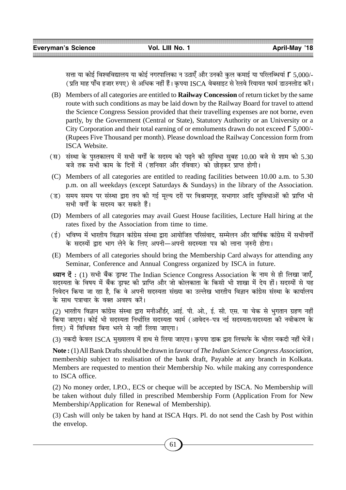सत्ता या कोई विश्वविद्यालय या कोई नगरपालिका न उठाएँ और उनकी कल कमाई या परिलब्धियां Г 5,000/-(प्रति माह पाँच हजार रुपए) से अधिक नहीं हैं। कृपया ISCA वेबसाइट से रेलवे रियायत फार्म डाउनलोड करें।

- (B) Members of all categories are entitled to **Railway Concession** of return ticket by the same route with such conditions as may be laid down by the Railway Board for travel to attend the Science Congress Session provided that their travelling expenses are not borne, even partly, by the Government (Central or State), Statutory Authority or an University or a City Corporation and their total earning of or emoluments drawn do not exceed  $\Gamma$  5,000/-(Rupees Five Thousand per month). Please download the Railway Concession form from ISCA Website.
- (स) संस्था के पुस्तकालय में सभी वर्गों के सदस्य को पढने की सुविधा सुबह 10.00 बजे से शाम को 5.30 बजे तक सभी काम के दिनों में (शनिवार और रविवार) को छोड़कर प्राप्त होगी।
- (C) Members of all categories are entitled to reading facilities between 10.00 a.m. to 5.30 p.m. on all weekdays (except Saturdays & Sundays) in the library of the Association.
- (ड) समय समय पर संस्था द्वारा तय की गई मूल्य दरों पर विश्रामगृह, सभागार आदि सुविधाओं की प्राप्ति भी सभी वर्गों के सदस्य कर सकते हैं।
- (D) Members of all categories may avail Guest House facilities, Lecture Hall hiring at the rates fixed by the Association from time to time.
- (ई) भविष्य में भारतीय विज्ञान कांग्रेस संस्था द्वारा आयोजित परिसंवाद. सम्मेलन और वार्षिक कांग्रेस में सभीवर्गो के सदस्यों द्वारा भाग लेने के लिए अपनी—अपनी सदस्यता पत्र को लाना जरुरी होगा।
- (E) Members of all categories should bring the Membership Card always for attending any Seminar, Conference and Annual Congress organized by ISCA in future.

**ध्यान दें**: (1) सभी बैंक ड्राफ्ट The Indian Science Congress Association के नाम से ही लिखा जाएँ, सदस्यता के विषय में बैंक ड़ाफ्ट की प्राप्ति और जो कोलकाता के किसी भी शाखा में देय हों। सदस्यों से यह निवेदन किया जा रहा है. कि वे अपनी सदस्यता संख्या का उल्लेख भारतीय विज्ञान कांग्रेस संस्था के कार्यालय के साथ पत्राचार के वक्त अवश्य करें।

(2) भारतीय विज्ञान कांग्रेस संस्था द्वारा मनीआँर्डर, आई. पी. ओ., ई. सी. एस. या चेक से भगतान ग्रहण नहीं किया जाएगा। कोई भी सदस्यता निर्धारित सदस्यता फार्म (आवेदन−पत्र नई सदस्यता/सदस्यता की नवीकरण के लिए) में विधिवत बिना भरने से नहीं लिया जाएगा।

(3) नकदी केवल ISCA मुख्यालय में हाथ से लिया जाएगा। कृपया डाक द्वारा लिफाफे के भीतर नकदी नहीं भेजें।

**Note :** (1) All Bank Drafts should be drawn in favour of *The Indian Science Congress Association,* membership subject to realisation of the bank draft, Payable at any branch in Kolkata. Members are requested to mention their Membership No. while making any correspondence to ISCA office.

(2) No money order, I.P.O., ECS or cheque will be accepted by ISCA. No Membership will be taken without duly filled in prescribed Membership Form (Application From for New Membership/Application for Renewal of Membership).

(3) Cash will only be taken by hand at ISCA Hqrs. Pl. do not send the Cash by Post within the envelop.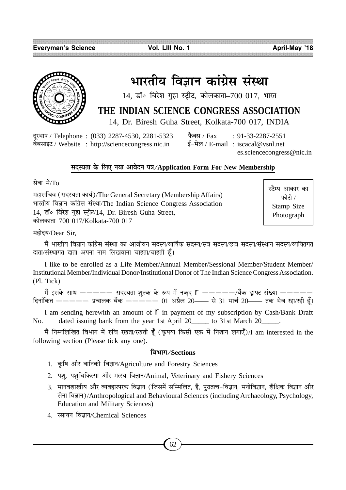

# भारतीय विज्ञान कांग्रेस संस्था

 $14$ , डॉ॰ बिरेश गुहा स्ट्रीट, कोलकाता-700 017, भारत

# **THE INDIAN SCIENCE CONGRESS ASSOCIATION**

14, Dr. Biresh Guha Street, Kolkata-700 017, INDIA

दूरभाष / Telephone: (033) 2287-4530, 2281-5323 फैक्स / Fax : 91-33-2287-2551 वेबसाइट / Website : http://sciencecongress.nic.in  $\frac{1}{5} - \frac{1}{2}$ ल / E-mail : iscacal@vsnl.net

es.sciencecongress@nic.in

# **'ŒSÿÃÊ ∑§ Á‹∞ ŸÿÊ •ÊflŒŸ ¬òÊ/Application Form For New Membership**

ਸ਼ੇਗ ਸੇਂ/ $T_0$ 

महासचिव (सदस्यता कार्य)/The General Secretary (Membership Affairs) भारतीय विज्ञान कांग्रेस संस्था/The Indian Science Congress Association 14, डॉ॰ बिरेश गहा स्ट्रीट/14, Dr. Biresh Guha Street, ∑§Ê‹∑§ÊÃÊ-700 017/Kolkata-700 017

स्टैम्प आकार का फोटो $/$ Stamp Size Photograph

महोदय/Dear Sir.

मैं भारतीय विज्ञान कांग्रेस संस्था का आजीवन सदस्य/वार्षिक सदस्य/सत्र सदस्य/छात्र सदस्य/संस्थान सदस्य/व्यक्तिगत दाता/संस्थागत दाता अपना नाम लिखवाना चाहता/चाहती हूँ।

I like to be enrolled as a Life Member/Annual Member/Sessional Member/Student Member/ Institutional Member/Individual Donor/Institutional Donor of The Indian Science Congress Association. (Pl. Tick)

मैं इसके साथ ————— सदस्यता शुल्क के रूप में नकद  $\Gamma$  ————/बैंक ड्राफ्ट संख्या —————  $\hat{a}$ हिनांकित ————— प्रचालक बैंक ————— 01 अप्रैल 20—— से 31 मार्च 20—— तक भेज रहा/रही हैं।

I am sending herewith an amount of  $\Gamma$  in payment of my subscription by Cash/Bank Draft No. dated issuing bank from the year 1st April 20 \_\_\_\_\_ to 31st March 20\_\_\_\_\_.

मैं निम्नलिखित विभाग में रुचि रखता/रखती हँ (कपया किसी एक में निशान लगाएँ)/I am interested in the following section (Please tick any one).

# **Áfl÷ʪ/Sections**

- 1. कृषि और वानिकी विज्ञान/Agriculture and Forestry Sciences
- 2. पशु, पशुचिकित्सा और मत्स्य विज्ञान/Animal, Veterinary and Fishery Sciences
- 3. मानवशास्त्रीय और व्यवहारपरक विज्ञान (जिसमें सम्मिलित, हैं, पुरातत्व-विज्ञान, मनोविज्ञान, शैक्षिक विज्ञान और सेना विज्ञान)/Anthropological and Behavioural Sciences (including Archaeology, Psychology, Education and Military Sciences)
- 4. रसायन विज्ञान/Chemical Sciences

62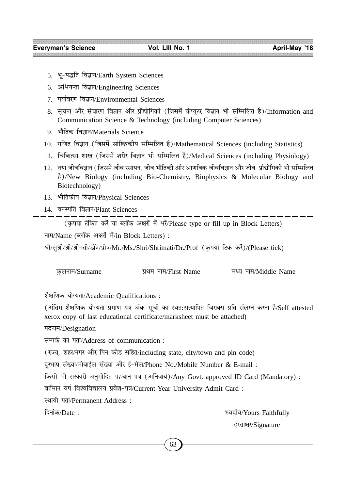- 5. भू-पद्धति विज्ञान/Earth System Sciences
- 6. अभियन्ता विज्ञान/Engineering Sciences
- 7. पर्यावरण विज्ञान/Environmental Sciences
- 8. सूचना और संचारण विज्ञान और प्रौद्योगिकी (जिसमें कंप्यूटर विज्ञान भी सम्मिलित है)/Information and Communication Science & Technology (including Computer Sciences)
- 9. भौतिक विज्ञान/Materials Science
- 10. गणित विज्ञान (जिसमें सांख्यिकीय सम्मिलित है)/Mathematical Sciences (including Statistics)
- 11. चिकित्सा शास्त्र (जिसमें शरीर विज्ञान भी सम्मिलित है)/Medical Sciences (including Physiology)
- 12. नया जीवविज्ञान (जिसमें जीव रसायन, जीव भौतिकी और आणविक जीवविज्ञान और जीव−प्रौद्योगिकी भी सम्मिलित "Ò)/New Biology (including Bio-Chemistry, Biophysics & Molecular Biology and Biotechnology)
- 13. भौतिकीय विज्ञान/Physical Sciences
- 14. वनस्पति विज्ञान/Plant Sciences

(कृपया टंकित करें या ब्लॉक अक्षरों में भरें/Please type or fill up in Block Letters)

नाम/Name (ब्लॉक अक्षरों में/in Block Letters) :

श्री/सुश्री/श्री/श्रीमती/डॉ॰/प्रो॰/Mr./Ms./Shri/Shrimati/Dr./Prof (कृपया टिक करें)/(Please tick)

| कुलनाम/Surname | प्रथम नाम/First Name | मध्य नाम/Middle Name |
|----------------|----------------------|----------------------|
|                |                      |                      |

शैक्षणिक योग्यता/Academic Qualifications :

(अंतिम शैक्षणिक योग्यता प्रमाण-पत्र अंक-सूची का स्वत:सत्यापित जिराक्स प्रति संलग्न करना है/Self attested xerox copy of last educational certificate/marksheet must be attached)

पदनाम/Designation

सम्पर्क का पता/Address of communication :

(राज्य, शहर⁄नगर और पिन कोड सहित/including state, city/town and pin code)

दूरभाष संख्या/मोबाईल संख्या और ई-मेल/Phone No./Mobile Number & E-mail :

Á∑§'Ë ÷Ë '⁄∑§Ê⁄Ë •ŸÈ◊ÊÁŒÃ ¬"øÊŸ ¬òÊ (•ÁŸflÊÿ¸)/Any Govt. approved ID Card (Mandatory) :

वर्तमान वर्ष विश्वविद्यालय प्रवेश-पत्र/Current Year University Admit Card :

स्थायी पता/Permanent Address :

ÁŒŸÊ¢∑§/Date : ÷flŒËfl/Yours Faithfully हस्ताक्षर/Signature